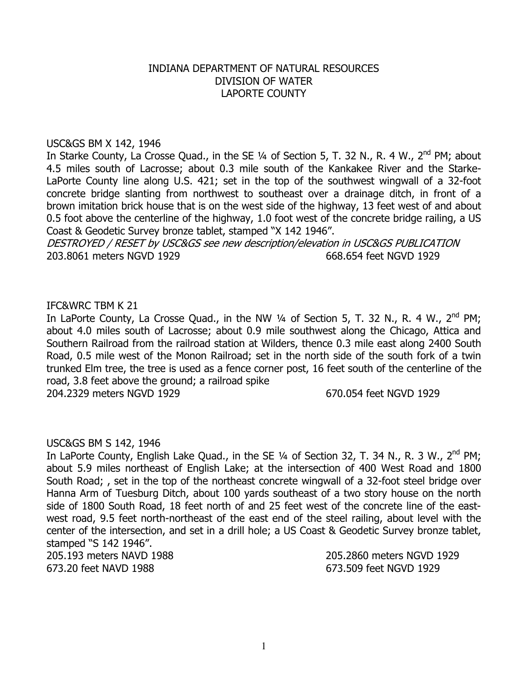# INDIANA DEPARTMENT OF NATURAL RESOURCES DIVISION OF WATER LAPORTE COUNTY

### USC&GS BM X 142, 1946

In Starke County, La Crosse Quad., in the SE  $\frac{1}{4}$  of Section 5, T. 32 N., R. 4 W., 2<sup>nd</sup> PM; about 4.5 miles south of Lacrosse; about 0.3 mile south of the Kankakee River and the Starke-LaPorte County line along U.S. 421; set in the top of the southwest wingwall of a 32-foot concrete bridge slanting from northwest to southeast over a drainage ditch, in front of a brown imitation brick house that is on the west side of the highway, 13 feet west of and about 0.5 foot above the centerline of the highway, 1.0 foot west of the concrete bridge railing, a US Coast & Geodetic Survey bronze tablet, stamped "X 142 1946".

DESTROYED / RESET by USC&GS see new description/elevation in USC&GS PUBLICATION 203.8061 meters NGVD 1929 668.654 feet NGVD 1929

#### IFC&WRC TBM K 21

In LaPorte County, La Crosse Quad., in the NW  $\frac{1}{4}$  of Section 5, T. 32 N., R. 4 W., 2<sup>nd</sup> PM; about 4.0 miles south of Lacrosse; about 0.9 mile southwest along the Chicago, Attica and Southern Railroad from the railroad station at Wilders, thence 0.3 mile east along 2400 South Road, 0.5 mile west of the Monon Railroad; set in the north side of the south fork of a twin trunked Elm tree, the tree is used as a fence corner post, 16 feet south of the centerline of the road, 3.8 feet above the ground; a railroad spike

204.2329 meters NGVD 1929 670.054 feet NGVD 1929

### USC&GS BM S 142, 1946

In LaPorte County, English Lake Quad., in the SE  $\frac{1}{4}$  of Section 32, T. 34 N., R. 3 W., 2<sup>nd</sup> PM; about 5.9 miles northeast of English Lake; at the intersection of 400 West Road and 1800 South Road; , set in the top of the northeast concrete wingwall of a 32-foot steel bridge over Hanna Arm of Tuesburg Ditch, about 100 yards southeast of a two story house on the north side of 1800 South Road, 18 feet north of and 25 feet west of the concrete line of the eastwest road, 9.5 feet north-northeast of the east end of the steel railing, about level with the center of the intersection, and set in a drill hole; a US Coast & Geodetic Survey bronze tablet, stamped "S 142 1946". 205.193 meters NAVD 1988 205.2860 meters NGVD 1929

673.20 feet NAVD 1988 673.509 feet NGVD 1929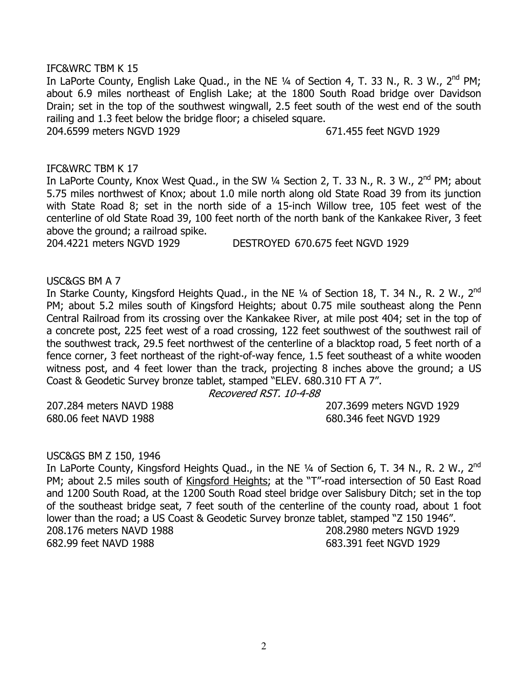### IFC&WRC TBM K 15

In LaPorte County, English Lake Quad., in the NE 1/4 of Section 4, T. 33 N., R. 3 W., 2<sup>nd</sup> PM; about 6.9 miles northeast of English Lake; at the 1800 South Road bridge over Davidson Drain; set in the top of the southwest wingwall, 2.5 feet south of the west end of the south railing and 1.3 feet below the bridge floor; a chiseled square.

204.6599 meters NGVD 1929 671.455 feet NGVD 1929

### IFC&WRC TBM K 17

In LaPorte County, Knox West Quad., in the SW  $\frac{1}{4}$  Section 2, T. 33 N., R. 3 W.,  $2^{nd}$  PM; about 5.75 miles northwest of Knox; about 1.0 mile north along old State Road 39 from its junction with State Road 8; set in the north side of a 15-inch Willow tree, 105 feet west of the centerline of old State Road 39, 100 feet north of the north bank of the Kankakee River, 3 feet above the ground; a railroad spike.

204.4221 meters NGVD 1929 DESTROYED 670.675 feet NGVD 1929

USC&GS BM A 7

In Starke County, Kingsford Heights Quad., in the NE 1/4 of Section 18, T. 34 N., R. 2 W., 2<sup>nd</sup> PM; about 5.2 miles south of Kingsford Heights; about 0.75 mile southeast along the Penn Central Railroad from its crossing over the Kankakee River, at mile post 404; set in the top of a concrete post, 225 feet west of a road crossing, 122 feet southwest of the southwest rail of the southwest track, 29.5 feet northwest of the centerline of a blacktop road, 5 feet north of a fence corner, 3 feet northeast of the right-of-way fence, 1.5 feet southeast of a white wooden witness post, and 4 feet lower than the track, projecting 8 inches above the ground; a US Coast & Geodetic Survey bronze tablet, stamped "ELEV. 680.310 FT A 7".

Recovered RST. 10-4-88

680.06 feet NAVD 1988 680.346 feet NGVD 1929

207.284 meters NAVD 1988 207.3699 meters NGVD 1929

### USC&GS BM Z 150, 1946

In LaPorte County, Kingsford Heights Quad., in the NE 1/4 of Section 6, T. 34 N., R. 2 W., 2<sup>nd</sup> PM; about 2.5 miles south of Kingsford Heights; at the "T"-road intersection of 50 East Road and 1200 South Road, at the 1200 South Road steel bridge over Salisbury Ditch; set in the top of the southeast bridge seat, 7 feet south of the centerline of the county road, about 1 foot lower than the road; a US Coast & Geodetic Survey bronze tablet, stamped "Z 150 1946". 208.176 meters NAVD 1988 208.2980 meters NGVD 1929 682.99 feet NAVD 1988 683.391 feet NGVD 1929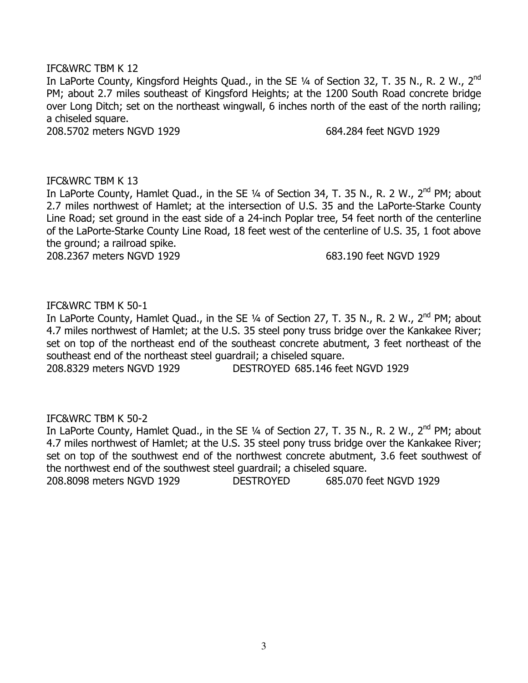## IFC&WRC TBM K 12

In LaPorte County, Kingsford Heights Quad., in the SE 1/4 of Section 32, T. 35 N., R. 2 W., 2<sup>nd</sup> PM; about 2.7 miles southeast of Kingsford Heights; at the 1200 South Road concrete bridge over Long Ditch; set on the northeast wingwall, 6 inches north of the east of the north railing; a chiseled square.

208.5702 meters NGVD 1929 684.284 feet NGVD 1929

## IFC&WRC TBM K 13

In LaPorte County, Hamlet Quad., in the SE 1/4 of Section 34, T. 35 N., R. 2 W., 2<sup>nd</sup> PM; about 2.7 miles northwest of Hamlet; at the intersection of U.S. 35 and the LaPorte-Starke County Line Road; set ground in the east side of a 24-inch Poplar tree, 54 feet north of the centerline of the LaPorte-Starke County Line Road, 18 feet west of the centerline of U.S. 35, 1 foot above the ground; a railroad spike.

208.2367 meters NGVD 1929 683.190 feet NGVD 1929

## IFC&WRC TBM K 50-1

In LaPorte County, Hamlet Quad., in the SE 1/4 of Section 27, T. 35 N., R. 2 W., 2<sup>nd</sup> PM; about 4.7 miles northwest of Hamlet; at the U.S. 35 steel pony truss bridge over the Kankakee River; set on top of the northeast end of the southeast concrete abutment, 3 feet northeast of the southeast end of the northeast steel guardrail; a chiseled square.

208.8329 meters NGVD 1929 DESTROYED 685.146 feet NGVD 1929

# IFC&WRC TBM K 50-2

In LaPorte County, Hamlet Quad., in the SE 1/4 of Section 27, T. 35 N., R. 2 W., 2<sup>nd</sup> PM; about 4.7 miles northwest of Hamlet; at the U.S. 35 steel pony truss bridge over the Kankakee River; set on top of the southwest end of the northwest concrete abutment, 3.6 feet southwest of the northwest end of the southwest steel guardrail; a chiseled square. 208.8098 meters NGVD 1929 DESTROYED 685.070 feet NGVD 1929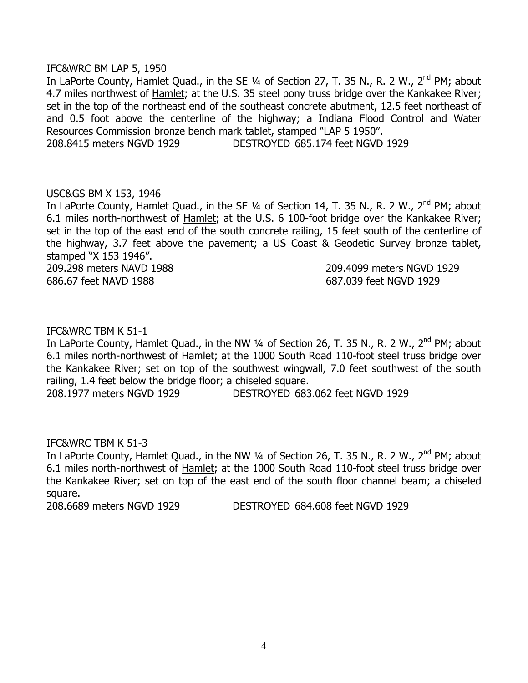### IFC&WRC BM LAP 5, 1950

In LaPorte County, Hamlet Quad., in the SE 1/4 of Section 27, T. 35 N., R. 2 W., 2<sup>nd</sup> PM; about 4.7 miles northwest of Hamlet; at the U.S. 35 steel pony truss bridge over the Kankakee River; set in the top of the northeast end of the southeast concrete abutment, 12.5 feet northeast of and 0.5 foot above the centerline of the highway; a Indiana Flood Control and Water Resources Commission bronze bench mark tablet, stamped "LAP 5 1950".

208.8415 meters NGVD 1929 DESTROYED 685.174 feet NGVD 1929

## USC&GS BM X 153, 1946

In LaPorte County, Hamlet Quad., in the SE  $\frac{1}{4}$  of Section 14, T. 35 N., R. 2 W., 2<sup>nd</sup> PM; about 6.1 miles north-northwest of Hamlet; at the U.S. 6 100-foot bridge over the Kankakee River; set in the top of the east end of the south concrete railing, 15 feet south of the centerline of the highway, 3.7 feet above the pavement; a US Coast & Geodetic Survey bronze tablet, stamped "X 153 1946".

686.67 feet NAVD 1988 687.039 feet NGVD 1929

209.298 meters NAVD 1988 209.4099 meters NGVD 1929

## IFC&WRC TBM K 51-1

In LaPorte County, Hamlet Quad., in the NW 1/4 of Section 26, T. 35 N., R. 2 W., 2<sup>nd</sup> PM; about 6.1 miles north-northwest of Hamlet; at the 1000 South Road 110-foot steel truss bridge over the Kankakee River; set on top of the southwest wingwall, 7.0 feet southwest of the south railing, 1.4 feet below the bridge floor; a chiseled square.

208.1977 meters NGVD 1929 DESTROYED 683.062 feet NGVD 1929

### IFC&WRC TBM K 51-3

In LaPorte County, Hamlet Quad., in the NW  $\frac{1}{4}$  of Section 26, T. 35 N., R. 2 W.,  $2^{nd}$  PM; about 6.1 miles north-northwest of Hamlet; at the 1000 South Road 110-foot steel truss bridge over the Kankakee River; set on top of the east end of the south floor channel beam; a chiseled square.

208.6689 meters NGVD 1929 DESTROYED 684.608 feet NGVD 1929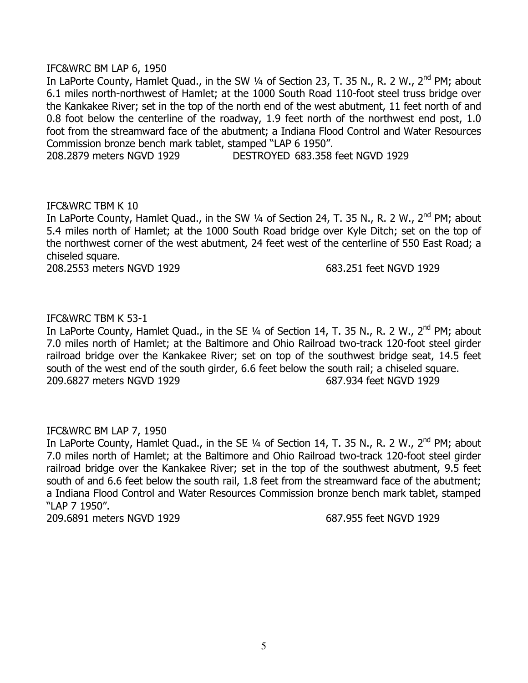## IFC&WRC BM LAP 6, 1950

In LaPorte County, Hamlet Quad., in the SW 1/4 of Section 23, T. 35 N., R. 2 W., 2<sup>nd</sup> PM; about 6.1 miles north-northwest of Hamlet; at the 1000 South Road 110-foot steel truss bridge over the Kankakee River; set in the top of the north end of the west abutment, 11 feet north of and 0.8 foot below the centerline of the roadway, 1.9 feet north of the northwest end post, 1.0 foot from the streamward face of the abutment; a Indiana Flood Control and Water Resources Commission bronze bench mark tablet, stamped "LAP 6 1950".

208.2879 meters NGVD 1929 DESTROYED 683.358 feet NGVD 1929

## IFC&WRC TBM K 10

In LaPorte County, Hamlet Quad., in the SW  $\frac{1}{4}$  of Section 24, T. 35 N., R. 2 W., 2<sup>nd</sup> PM; about 5.4 miles north of Hamlet; at the 1000 South Road bridge over Kyle Ditch; set on the top of the northwest corner of the west abutment, 24 feet west of the centerline of 550 East Road; a chiseled square.

208.2553 meters NGVD 1929 683.251 feet NGVD 1929

# IFC&WRC TBM K 53-1

In LaPorte County, Hamlet Quad., in the SE 1/4 of Section 14, T. 35 N., R. 2 W., 2<sup>nd</sup> PM; about 7.0 miles north of Hamlet; at the Baltimore and Ohio Railroad two-track 120-foot steel girder railroad bridge over the Kankakee River; set on top of the southwest bridge seat, 14.5 feet south of the west end of the south girder, 6.6 feet below the south rail; a chiseled square. 209.6827 meters NGVD 1929 687.934 feet NGVD 1929

# IFC&WRC BM LAP 7, 1950

In LaPorte County, Hamlet Quad., in the SE 1/4 of Section 14, T. 35 N., R. 2 W., 2<sup>nd</sup> PM; about 7.0 miles north of Hamlet; at the Baltimore and Ohio Railroad two-track 120-foot steel girder railroad bridge over the Kankakee River; set in the top of the southwest abutment, 9.5 feet south of and 6.6 feet below the south rail, 1.8 feet from the streamward face of the abutment; a Indiana Flood Control and Water Resources Commission bronze bench mark tablet, stamped "LAP 7 1950".

209.6891 meters NGVD 1929 687.955 feet NGVD 1929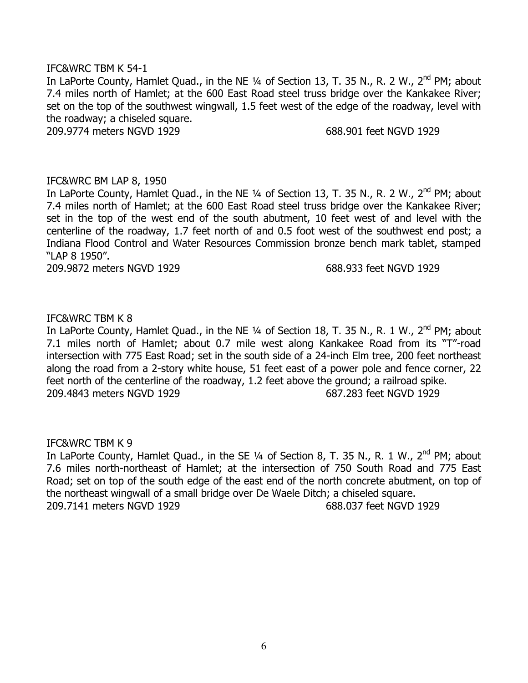## IFC&WRC TBM K 54-1

In LaPorte County, Hamlet Quad., in the NE 1/4 of Section 13, T. 35 N., R. 2 W., 2<sup>nd</sup> PM; about 7.4 miles north of Hamlet; at the 600 East Road steel truss bridge over the Kankakee River; set on the top of the southwest wingwall, 1.5 feet west of the edge of the roadway, level with the roadway; a chiseled square.

209.9774 meters NGVD 1929 688.901 feet NGVD 1929

### IFC&WRC BM LAP 8, 1950

In LaPorte County, Hamlet Quad., in the NE 1/4 of Section 13, T. 35 N., R. 2 W., 2<sup>nd</sup> PM; about 7.4 miles north of Hamlet; at the 600 East Road steel truss bridge over the Kankakee River; set in the top of the west end of the south abutment, 10 feet west of and level with the centerline of the roadway, 1.7 feet north of and 0.5 foot west of the southwest end post; a Indiana Flood Control and Water Resources Commission bronze bench mark tablet, stamped "LAP 8 1950".

209.9872 meters NGVD 1929 688.933 feet NGVD 1929

# IFC&WRC TBM K 8

In LaPorte County, Hamlet Quad., in the NE  $\frac{1}{4}$  of Section 18, T. 35 N., R. 1 W., 2<sup>nd</sup> PM; about 7.1 miles north of Hamlet; about 0.7 mile west along Kankakee Road from its "T"-road intersection with 775 East Road; set in the south side of a 24-inch Elm tree, 200 feet northeast along the road from a 2-story white house, 51 feet east of a power pole and fence corner, 22 feet north of the centerline of the roadway, 1.2 feet above the ground; a railroad spike. 209.4843 meters NGVD 1929 687.283 feet NGVD 1929

### IFC&WRC TBM K 9

In LaPorte County, Hamlet Quad., in the SE  $\frac{1}{4}$  of Section 8, T. 35 N., R. 1 W., 2<sup>nd</sup> PM; about 7.6 miles north-northeast of Hamlet; at the intersection of 750 South Road and 775 East Road; set on top of the south edge of the east end of the north concrete abutment, on top of the northeast wingwall of a small bridge over De Waele Ditch; a chiseled square. 209.7141 meters NGVD 1929 688.037 feet NGVD 1929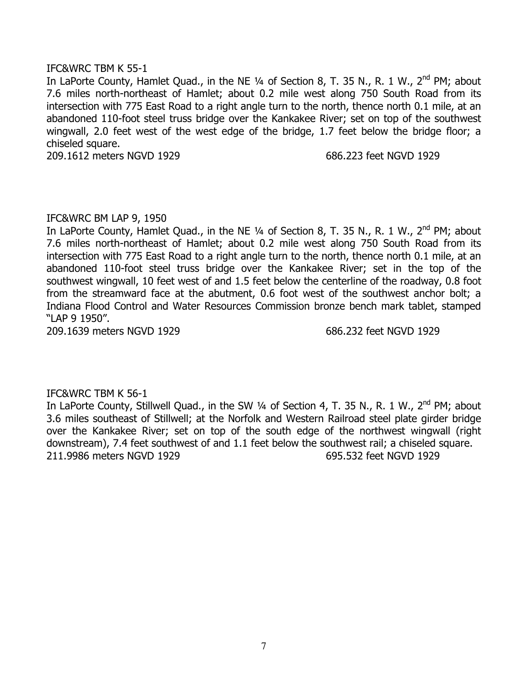## IFC&WRC TBM K 55-1

In LaPorte County, Hamlet Quad., in the NE  $\frac{1}{4}$  of Section 8, T. 35 N., R. 1 W., 2<sup>nd</sup> PM; about 7.6 miles north-northeast of Hamlet; about 0.2 mile west along 750 South Road from its intersection with 775 East Road to a right angle turn to the north, thence north 0.1 mile, at an abandoned 110-foot steel truss bridge over the Kankakee River; set on top of the southwest wingwall, 2.0 feet west of the west edge of the bridge, 1.7 feet below the bridge floor; a chiseled square.

209.1612 meters NGVD 1929 686.223 feet NGVD 1929

# IFC&WRC BM LAP 9, 1950

In LaPorte County, Hamlet Quad., in the NE  $\frac{1}{4}$  of Section 8, T. 35 N., R. 1 W., 2<sup>nd</sup> PM; about 7.6 miles north-northeast of Hamlet; about 0.2 mile west along 750 South Road from its intersection with 775 East Road to a right angle turn to the north, thence north 0.1 mile, at an abandoned 110-foot steel truss bridge over the Kankakee River; set in the top of the southwest wingwall, 10 feet west of and 1.5 feet below the centerline of the roadway, 0.8 foot from the streamward face at the abutment, 0.6 foot west of the southwest anchor bolt; a Indiana Flood Control and Water Resources Commission bronze bench mark tablet, stamped "LAP 9 1950".

209.1639 meters NGVD 1929 686.232 feet NGVD 1929

# IFC&WRC TBM K 56-1

In LaPorte County, Stillwell Quad., in the SW 1/4 of Section 4, T. 35 N., R. 1 W., 2<sup>nd</sup> PM; about 3.6 miles southeast of Stillwell; at the Norfolk and Western Railroad steel plate girder bridge over the Kankakee River; set on top of the south edge of the northwest wingwall (right downstream), 7.4 feet southwest of and 1.1 feet below the southwest rail; a chiseled square. 211.9986 meters NGVD 1929 695.532 feet NGVD 1929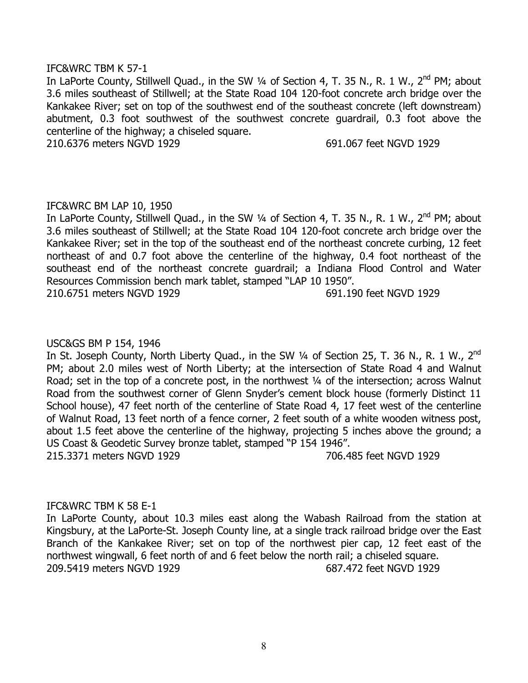## IFC&WRC TBM K 57-1

In LaPorte County, Stillwell Quad., in the SW 1/4 of Section 4, T. 35 N., R. 1 W., 2<sup>nd</sup> PM; about 3.6 miles southeast of Stillwell; at the State Road 104 120-foot concrete arch bridge over the Kankakee River; set on top of the southwest end of the southeast concrete (left downstream) abutment, 0.3 foot southwest of the southwest concrete guardrail, 0.3 foot above the centerline of the highway; a chiseled square.

210.6376 meters NGVD 1929 691.067 feet NGVD 1929

# IFC&WRC BM LAP 10, 1950

In LaPorte County, Stillwell Quad., in the SW  $\frac{1}{4}$  of Section 4, T. 35 N., R. 1 W., 2<sup>nd</sup> PM; about 3.6 miles southeast of Stillwell; at the State Road 104 120-foot concrete arch bridge over the Kankakee River; set in the top of the southeast end of the northeast concrete curbing, 12 feet northeast of and 0.7 foot above the centerline of the highway, 0.4 foot northeast of the southeast end of the northeast concrete guardrail; a Indiana Flood Control and Water Resources Commission bench mark tablet, stamped "LAP 10 1950".

210.6751 meters NGVD 1929 691.190 feet NGVD 1929

# USC&GS BM P 154, 1946

In St. Joseph County, North Liberty Quad., in the SW  $\frac{1}{4}$  of Section 25, T. 36 N., R. 1 W., 2<sup>nd</sup> PM; about 2.0 miles west of North Liberty; at the intersection of State Road 4 and Walnut Road; set in the top of a concrete post, in the northwest 1/4 of the intersection; across Walnut Road from the southwest corner of Glenn Snyder's cement block house (formerly Distinct 11 School house), 47 feet north of the centerline of State Road 4, 17 feet west of the centerline of Walnut Road, 13 feet north of a fence corner, 2 feet south of a white wooden witness post, about 1.5 feet above the centerline of the highway, projecting 5 inches above the ground; a US Coast & Geodetic Survey bronze tablet, stamped "P 154 1946". 215.3371 meters NGVD 1929 706.485 feet NGVD 1929

### IFC&WRC TBM K 58 E-1

In LaPorte County, about 10.3 miles east along the Wabash Railroad from the station at Kingsbury, at the LaPorte-St. Joseph County line, at a single track railroad bridge over the East Branch of the Kankakee River; set on top of the northwest pier cap, 12 feet east of the northwest wingwall, 6 feet north of and 6 feet below the north rail; a chiseled square. 209.5419 meters NGVD 1929 687.472 feet NGVD 1929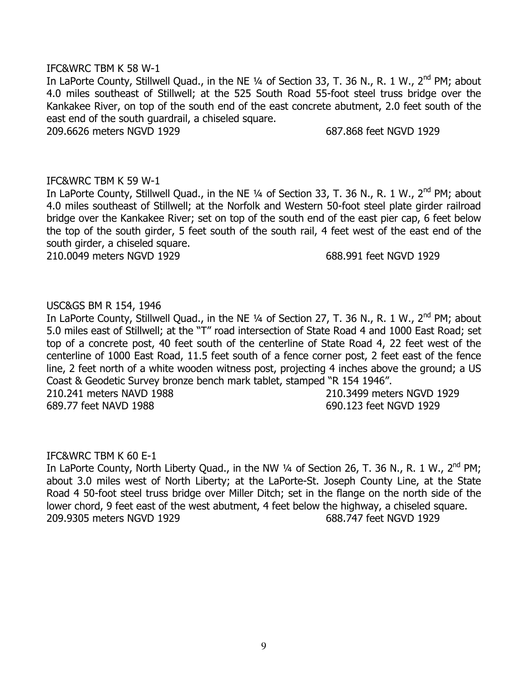#### IFC&WRC TBM K 58 W-1

In LaPorte County, Stillwell Quad., in the NE 1/4 of Section 33, T. 36 N., R. 1 W., 2<sup>nd</sup> PM; about 4.0 miles southeast of Stillwell; at the 525 South Road 55-foot steel truss bridge over the Kankakee River, on top of the south end of the east concrete abutment, 2.0 feet south of the east end of the south guardrail, a chiseled square.

209.6626 meters NGVD 1929 687.868 feet NGVD 1929

## IFC&WRC TBM K 59 W-1

In LaPorte County, Stillwell Quad., in the NE  $\frac{1}{4}$  of Section 33, T. 36 N., R. 1 W., 2<sup>nd</sup> PM; about 4.0 miles southeast of Stillwell; at the Norfolk and Western 50-foot steel plate girder railroad bridge over the Kankakee River; set on top of the south end of the east pier cap, 6 feet below the top of the south girder, 5 feet south of the south rail, 4 feet west of the east end of the south girder, a chiseled square.

210.0049 meters NGVD 1929 688.991 feet NGVD 1929

## USC&GS BM R 154, 1946

In LaPorte County, Stillwell Quad., in the NE 1/4 of Section 27, T. 36 N., R. 1 W., 2<sup>nd</sup> PM; about 5.0 miles east of Stillwell; at the "T" road intersection of State Road 4 and 1000 East Road; set top of a concrete post, 40 feet south of the centerline of State Road 4, 22 feet west of the centerline of 1000 East Road, 11.5 feet south of a fence corner post, 2 feet east of the fence line, 2 feet north of a white wooden witness post, projecting 4 inches above the ground; a US Coast & Geodetic Survey bronze bench mark tablet, stamped "R 154 1946". 210.241 meters NAVD 1988 210.3499 meters NGVD 1929

689.77 feet NAVD 1988 690.123 feet NGVD 1929

### IFC&WRC TBM K 60 E-1

In LaPorte County, North Liberty Quad., in the NW 1/4 of Section 26, T. 36 N., R. 1 W., 2<sup>nd</sup> PM; about 3.0 miles west of North Liberty; at the LaPorte-St. Joseph County Line, at the State Road 4 50-foot steel truss bridge over Miller Ditch; set in the flange on the north side of the lower chord, 9 feet east of the west abutment, 4 feet below the highway, a chiseled square. 209.9305 meters NGVD 1929 688.747 feet NGVD 1929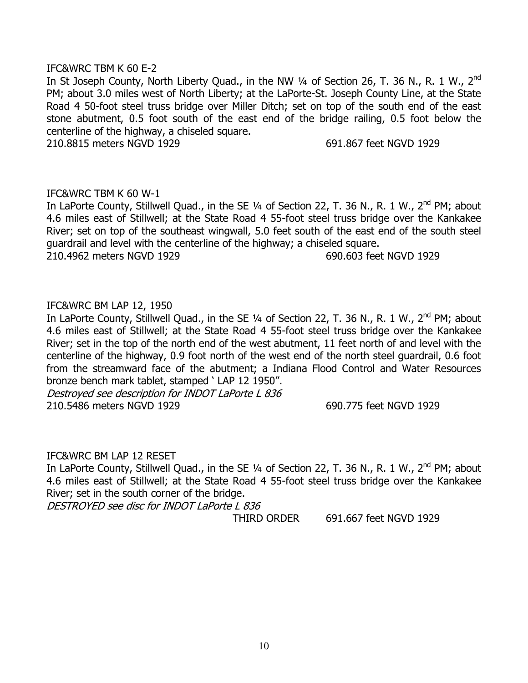### IFC&WRC TBM K 60 E-2

In St Joseph County, North Liberty Quad., in the NW 1/4 of Section 26, T. 36 N., R. 1 W., 2<sup>nd</sup> PM; about 3.0 miles west of North Liberty; at the LaPorte-St. Joseph County Line, at the State Road 4 50-foot steel truss bridge over Miller Ditch; set on top of the south end of the east stone abutment, 0.5 foot south of the east end of the bridge railing, 0.5 foot below the centerline of the highway, a chiseled square.

210.8815 meters NGVD 1929 691.867 feet NGVD 1929

### IFC&WRC TBM K 60 W-1

In LaPorte County, Stillwell Quad., in the SE 1/4 of Section 22, T. 36 N., R. 1 W., 2<sup>nd</sup> PM; about 4.6 miles east of Stillwell; at the State Road 4 55-foot steel truss bridge over the Kankakee River; set on top of the southeast wingwall, 5.0 feet south of the east end of the south steel guardrail and level with the centerline of the highway; a chiseled square.

210.4962 meters NGVD 1929 690.603 feet NGVD 1929

# IFC&WRC BM LAP 12, 1950

In LaPorte County, Stillwell Quad., in the SE  $\frac{1}{4}$  of Section 22, T. 36 N., R. 1 W., 2<sup>nd</sup> PM; about 4.6 miles east of Stillwell; at the State Road 4 55-foot steel truss bridge over the Kankakee River; set in the top of the north end of the west abutment, 11 feet north of and level with the centerline of the highway, 0.9 foot north of the west end of the north steel guardrail, 0.6 foot from the streamward face of the abutment; a Indiana Flood Control and Water Resources bronze bench mark tablet, stamped ' LAP 12 1950".

Destroyed see description for INDOT LaPorte L 836 210.5486 meters NGVD 1929 690.775 feet NGVD 1929

### IFC&WRC BM LAP 12 RESET

In LaPorte County, Stillwell Quad., in the SE 1/4 of Section 22, T. 36 N., R. 1 W., 2<sup>nd</sup> PM; about 4.6 miles east of Stillwell; at the State Road 4 55-foot steel truss bridge over the Kankakee River; set in the south corner of the bridge.

DESTROYED see disc for INDOT LaPorte L 836

THIRD ORDER 691.667 feet NGVD 1929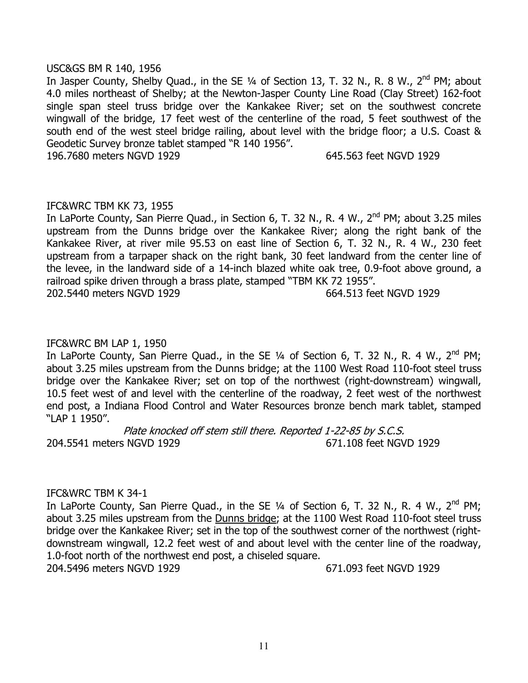## USC&GS BM R 140, 1956

In Jasper County, Shelby Quad., in the SE 1/4 of Section 13, T. 32 N., R. 8 W., 2<sup>nd</sup> PM; about 4.0 miles northeast of Shelby; at the Newton-Jasper County Line Road (Clay Street) 162-foot single span steel truss bridge over the Kankakee River; set on the southwest concrete wingwall of the bridge, 17 feet west of the centerline of the road, 5 feet southwest of the south end of the west steel bridge railing, about level with the bridge floor; a U.S. Coast & Geodetic Survey bronze tablet stamped "R 140 1956".

196.7680 meters NGVD 1929 645.563 feet NGVD 1929

## IFC&WRC TBM KK 73, 1955

In LaPorte County, San Pierre Quad., in Section 6, T. 32 N., R. 4 W., 2<sup>nd</sup> PM; about 3.25 miles upstream from the Dunns bridge over the Kankakee River; along the right bank of the Kankakee River, at river mile 95.53 on east line of Section 6, T. 32 N., R. 4 W., 230 feet upstream from a tarpaper shack on the right bank, 30 feet landward from the center line of the levee, in the landward side of a 14-inch blazed white oak tree, 0.9-foot above ground, a railroad spike driven through a brass plate, stamped "TBM KK 72 1955".

202.5440 meters NGVD 1929 664.513 feet NGVD 1929

# IFC&WRC BM LAP 1, 1950

In LaPorte County, San Pierre Quad., in the SE  $\frac{1}{4}$  of Section 6, T. 32 N., R. 4 W., 2<sup>nd</sup> PM; about 3.25 miles upstream from the Dunns bridge; at the 1100 West Road 110-foot steel truss bridge over the Kankakee River; set on top of the northwest (right-downstream) wingwall, 10.5 feet west of and level with the centerline of the roadway, 2 feet west of the northwest end post, a Indiana Flood Control and Water Resources bronze bench mark tablet, stamped "LAP 1 1950".

Plate knocked off stem still there. Reported 1-22-85 by S.C.S. 204.5541 meters NGVD 1929 671.108 feet NGVD 1929

### IFC&WRC TBM K 34-1

In LaPorte County, San Pierre Quad., in the SE  $\frac{1}{4}$  of Section 6, T. 32 N., R. 4 W., 2<sup>nd</sup> PM; about 3.25 miles upstream from the Dunns bridge; at the 1100 West Road 110-foot steel truss bridge over the Kankakee River; set in the top of the southwest corner of the northwest (rightdownstream wingwall, 12.2 feet west of and about level with the center line of the roadway, 1.0-foot north of the northwest end post, a chiseled square.

204.5496 meters NGVD 1929 671.093 feet NGVD 1929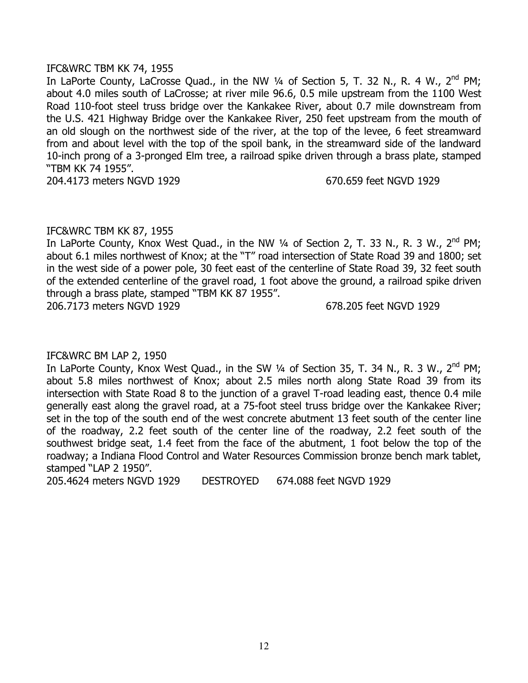### IFC&WRC TBM KK 74, 1955

In LaPorte County, LaCrosse Quad., in the NW  $\frac{1}{4}$  of Section 5, T. 32 N., R. 4 W., 2<sup>nd</sup> PM; about 4.0 miles south of LaCrosse; at river mile 96.6, 0.5 mile upstream from the 1100 West Road 110-foot steel truss bridge over the Kankakee River, about 0.7 mile downstream from the U.S. 421 Highway Bridge over the Kankakee River, 250 feet upstream from the mouth of an old slough on the northwest side of the river, at the top of the levee, 6 feet streamward from and about level with the top of the spoil bank, in the streamward side of the landward 10-inch prong of a 3-pronged Elm tree, a railroad spike driven through a brass plate, stamped "TBM KK 74 1955".

204.4173 meters NGVD 1929 670.659 feet NGVD 1929

## IFC&WRC TBM KK 87, 1955

In LaPorte County, Knox West Quad., in the NW 1/4 of Section 2, T. 33 N., R. 3 W., 2<sup>nd</sup> PM; about 6.1 miles northwest of Knox; at the "T" road intersection of State Road 39 and 1800; set in the west side of a power pole, 30 feet east of the centerline of State Road 39, 32 feet south of the extended centerline of the gravel road, 1 foot above the ground, a railroad spike driven through a brass plate, stamped "TBM KK 87 1955".

206.7173 meters NGVD 1929 678.205 feet NGVD 1929

# IFC&WRC BM LAP 2, 1950

In LaPorte County, Knox West Quad., in the SW 1/4 of Section 35, T. 34 N., R. 3 W., 2<sup>nd</sup> PM; about 5.8 miles northwest of Knox; about 2.5 miles north along State Road 39 from its intersection with State Road 8 to the junction of a gravel T-road leading east, thence 0.4 mile generally east along the gravel road, at a 75-foot steel truss bridge over the Kankakee River; set in the top of the south end of the west concrete abutment 13 feet south of the center line of the roadway, 2.2 feet south of the center line of the roadway, 2.2 feet south of the southwest bridge seat, 1.4 feet from the face of the abutment, 1 foot below the top of the roadway; a Indiana Flood Control and Water Resources Commission bronze bench mark tablet, stamped "LAP 2 1950".

205.4624 meters NGVD 1929 DESTROYED 674.088 feet NGVD 1929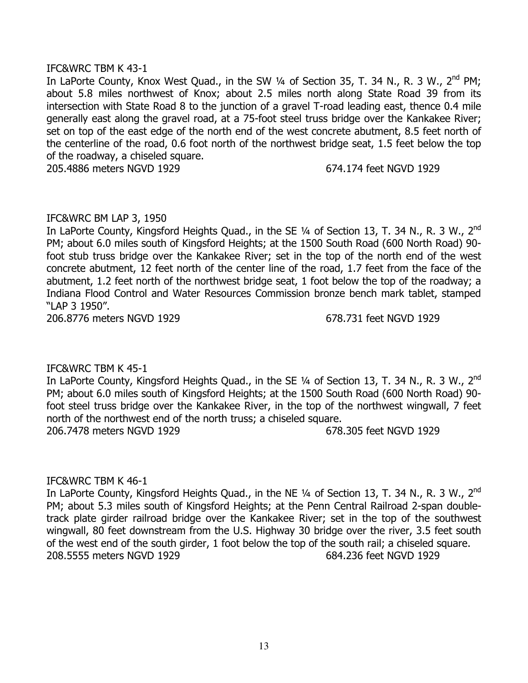## IFC&WRC TBM K 43-1

In LaPorte County, Knox West Quad., in the SW 1/4 of Section 35, T. 34 N., R. 3 W., 2<sup>nd</sup> PM; about 5.8 miles northwest of Knox; about 2.5 miles north along State Road 39 from its intersection with State Road 8 to the junction of a gravel T-road leading east, thence 0.4 mile generally east along the gravel road, at a 75-foot steel truss bridge over the Kankakee River; set on top of the east edge of the north end of the west concrete abutment, 8.5 feet north of the centerline of the road, 0.6 foot north of the northwest bridge seat, 1.5 feet below the top of the roadway, a chiseled square.

205.4886 meters NGVD 1929 674.174 feet NGVD 1929

# IFC&WRC BM LAP 3, 1950

In LaPorte County, Kingsford Heights Quad., in the SE 1/4 of Section 13, T. 34 N., R. 3 W., 2<sup>nd</sup> PM; about 6.0 miles south of Kingsford Heights; at the 1500 South Road (600 North Road) 90foot stub truss bridge over the Kankakee River; set in the top of the north end of the west concrete abutment, 12 feet north of the center line of the road, 1.7 feet from the face of the abutment, 1.2 feet north of the northwest bridge seat, 1 foot below the top of the roadway; a Indiana Flood Control and Water Resources Commission bronze bench mark tablet, stamped "LAP 3 1950".

206.8776 meters NGVD 1929 678.731 feet NGVD 1929

# IFC&WRC TBM K 45-1

In LaPorte County, Kingsford Heights Quad., in the SE 1/4 of Section 13, T. 34 N., R. 3 W., 2<sup>nd</sup> PM; about 6.0 miles south of Kingsford Heights; at the 1500 South Road (600 North Road) 90 foot steel truss bridge over the Kankakee River, in the top of the northwest wingwall, 7 feet north of the northwest end of the north truss; a chiseled square. 206.7478 meters NGVD 1929 678.305 feet NGVD 1929

# IFC&WRC TBM K 46-1

In LaPorte County, Kingsford Heights Quad., in the NE 1/4 of Section 13, T. 34 N., R. 3 W., 2<sup>nd</sup> PM; about 5.3 miles south of Kingsford Heights; at the Penn Central Railroad 2-span doubletrack plate girder railroad bridge over the Kankakee River; set in the top of the southwest wingwall, 80 feet downstream from the U.S. Highway 30 bridge over the river, 3.5 feet south of the west end of the south girder, 1 foot below the top of the south rail; a chiseled square. 208.5555 meters NGVD 1929 684.236 feet NGVD 1929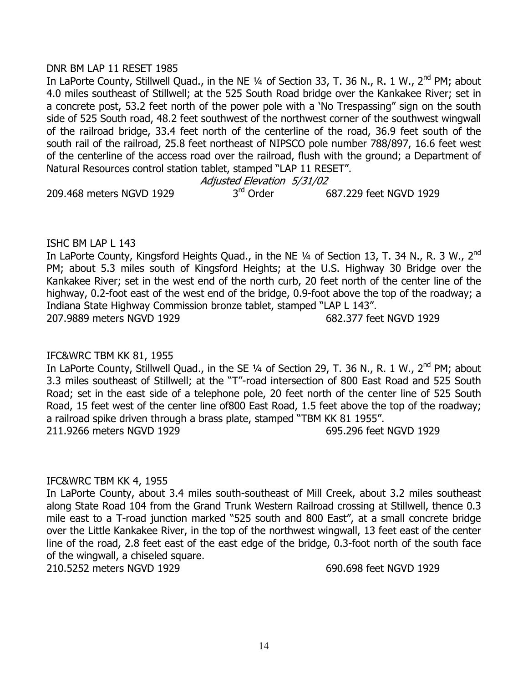## DNR BM LAP 11 RESET 1985

In LaPorte County, Stillwell Quad., in the NE 1/4 of Section 33, T. 36 N., R. 1 W., 2<sup>nd</sup> PM; about 4.0 miles southeast of Stillwell; at the 525 South Road bridge over the Kankakee River; set in a concrete post, 53.2 feet north of the power pole with a 'No Trespassing" sign on the south side of 525 South road, 48.2 feet southwest of the northwest corner of the southwest wingwall of the railroad bridge, 33.4 feet north of the centerline of the road, 36.9 feet south of the south rail of the railroad, 25.8 feet northeast of NIPSCO pole number 788/897, 16.6 feet west of the centerline of the access road over the railroad, flush with the ground; a Department of Natural Resources control station tablet, stamped "LAP 11 RESET".

Adjusted Elevation 5/31/02 209.468 meters NGVD 1929 3<sup>rd</sup> Order 687.229 feet NGVD 1929

# ISHC BM LAP L 143

In LaPorte County, Kingsford Heights Quad., in the NE 1/4 of Section 13, T. 34 N., R. 3 W., 2<sup>nd</sup> PM; about 5.3 miles south of Kingsford Heights; at the U.S. Highway 30 Bridge over the Kankakee River; set in the west end of the north curb, 20 feet north of the center line of the highway, 0.2-foot east of the west end of the bridge, 0.9-foot above the top of the roadway; a Indiana State Highway Commission bronze tablet, stamped "LAP L 143". 207.9889 meters NGVD 1929 682.377 feet NGVD 1929

# IFC&WRC TBM KK 81, 1955

In LaPorte County, Stillwell Quad., in the SE  $\frac{1}{4}$  of Section 29, T. 36 N., R. 1 W., 2<sup>nd</sup> PM; about 3.3 miles southeast of Stillwell; at the "T"-road intersection of 800 East Road and 525 South Road; set in the east side of a telephone pole, 20 feet north of the center line of 525 South Road, 15 feet west of the center line of800 East Road, 1.5 feet above the top of the roadway; a railroad spike driven through a brass plate, stamped "TBM KK 81 1955". 211.9266 meters NGVD 1929 695.296 feet NGVD 1929

# IFC&WRC TBM KK 4, 1955

In LaPorte County, about 3.4 miles south-southeast of Mill Creek, about 3.2 miles southeast along State Road 104 from the Grand Trunk Western Railroad crossing at Stillwell, thence 0.3 mile east to a T-road junction marked "525 south and 800 East", at a small concrete bridge over the Little Kankakee River, in the top of the northwest wingwall, 13 feet east of the center line of the road, 2.8 feet east of the east edge of the bridge, 0.3-foot north of the south face of the wingwall, a chiseled square.

210.5252 meters NGVD 1929 690.698 feet NGVD 1929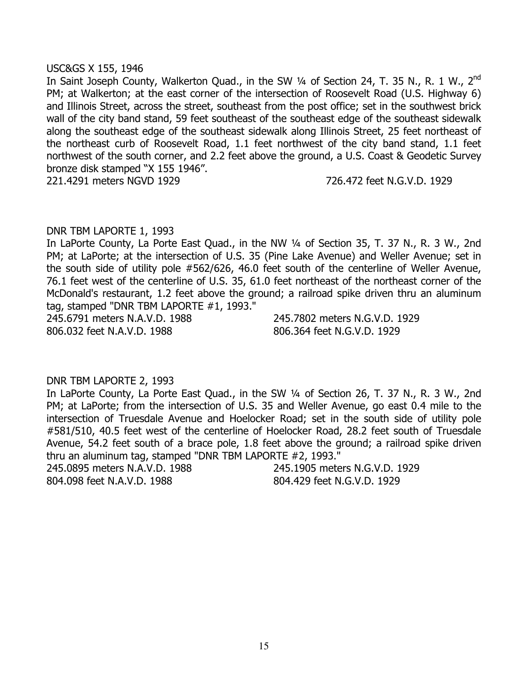### USC&GS X 155, 1946

In Saint Joseph County, Walkerton Quad., in the SW 1/4 of Section 24, T. 35 N., R. 1 W., 2<sup>nd</sup> PM; at Walkerton; at the east corner of the intersection of Roosevelt Road (U.S. Highway 6) and Illinois Street, across the street, southeast from the post office; set in the southwest brick wall of the city band stand, 59 feet southeast of the southeast edge of the southeast sidewalk along the southeast edge of the southeast sidewalk along Illinois Street, 25 feet northeast of the northeast curb of Roosevelt Road, 1.1 feet northwest of the city band stand, 1.1 feet northwest of the south corner, and 2.2 feet above the ground, a U.S. Coast & Geodetic Survey bronze disk stamped "X 155 1946".

221.4291 meters NGVD 1929 726.472 feet N.G.V.D. 1929

## DNR TBM LAPORTE 1, 1993

In LaPorte County, La Porte East Quad., in the NW 1/4 of Section 35, T. 37 N., R. 3 W., 2nd PM; at LaPorte; at the intersection of U.S. 35 (Pine Lake Avenue) and Weller Avenue; set in the south side of utility pole #562/626, 46.0 feet south of the centerline of Weller Avenue, 76.1 feet west of the centerline of U.S. 35, 61.0 feet northeast of the northeast corner of the McDonald's restaurant, 1.2 feet above the ground; a railroad spike driven thru an aluminum tag, stamped "DNR TBM LAPORTE #1, 1993."

806.032 feet N.A.V.D. 1988 806.364 feet N.G.V.D. 1929

245.6791 meters N.A.V.D. 1988 245.7802 meters N.G.V.D. 1929

### DNR TBM LAPORTE 2, 1993

In LaPorte County, La Porte East Quad., in the SW ¼ of Section 26, T. 37 N., R. 3 W., 2nd PM; at LaPorte; from the intersection of U.S. 35 and Weller Avenue, go east 0.4 mile to the intersection of Truesdale Avenue and Hoelocker Road; set in the south side of utility pole #581/510, 40.5 feet west of the centerline of Hoelocker Road, 28.2 feet south of Truesdale Avenue, 54.2 feet south of a brace pole, 1.8 feet above the ground; a railroad spike driven thru an aluminum tag, stamped "DNR TBM LAPORTE #2, 1993."

245.0895 meters N.A.V.D. 1988 245.1905 meters N.G.V.D. 1929 804.098 feet N.A.V.D. 1988 804.429 feet N.G.V.D. 1929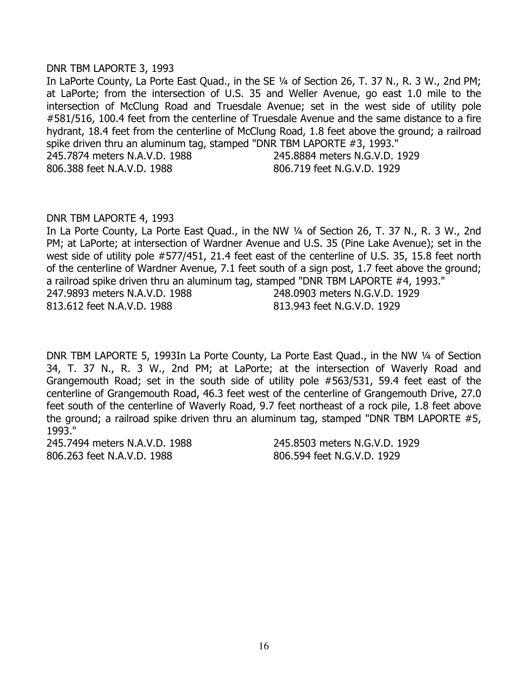### DNR TBM LAPORTE 3, 1993

In LaPorte County, La Porte East Quad., in the SE 1/4 of Section 26, T. 37 N., R. 3 W., 2nd PM; at LaPorte; from the intersection of U.S. 35 and Weller Avenue, go east 1.0 mile to the intersection of McClung Road and Truesdale Avenue; set in the west side of utility pole #581/516, 100.4 feet from the centerline of Truesdale Avenue and the same distance to a fire hydrant, 18.4 feet from the centerline of McClung Road, 1.8 feet above the ground; a railroad spike driven thru an aluminum tag, stamped "DNR TBM LAPORTE #3, 1993." 245.7874 meters N.A.V.D. 1988 245.8884 meters N.G.V.D. 1929 806.388 feet N.A.V.D. 1988 806.719 feet N.G.V.D. 1929

### DNR TBM LAPORTE 4, 1993

In La Porte County, La Porte East Quad., in the NW 1/4 of Section 26, T. 37 N., R. 3 W., 2nd PM; at LaPorte; at intersection of Wardner Avenue and U.S. 35 (Pine Lake Avenue); set in the west side of utility pole #577/451, 21.4 feet east of the centerline of U.S. 35, 15.8 feet north of the centerline of Wardner Avenue, 7.1 feet south of a sign post, 1.7 feet above the ground; a railroad spike driven thru an aluminum tag, stamped "DNR TBM LAPORTE #4, 1993." 247.9893 meters N.A.V.D. 1988 248.0903 meters N.G.V.D. 1929 813.612 feet N.A.V.D. 1988 813.943 feet N.G.V.D. 1929

DNR TBM LAPORTE 5, 1993In La Porte County, La Porte East Quad., in the NW 1/4 of Section 34, T. 37 N., R. 3 W., 2nd PM; at LaPorte; at the intersection of Waverly Road and Grangemouth Road; set in the south side of utility pole #563/531, 59.4 feet east of the centerline of Grangemouth Road, 46.3 feet west of the centerline of Grangemouth Drive, 27.0 feet south of the centerline of Waverly Road, 9.7 feet northeast of a rock pile, 1.8 feet above the ground; a railroad spike driven thru an aluminum tag, stamped "DNR TBM LAPORTE #5, 1993."

245.7494 meters N.A.V.D. 1988 245.8503 meters N.G.V.D. 1929 806.263 feet N.A.V.D. 1988 806.594 feet N.G.V.D. 1929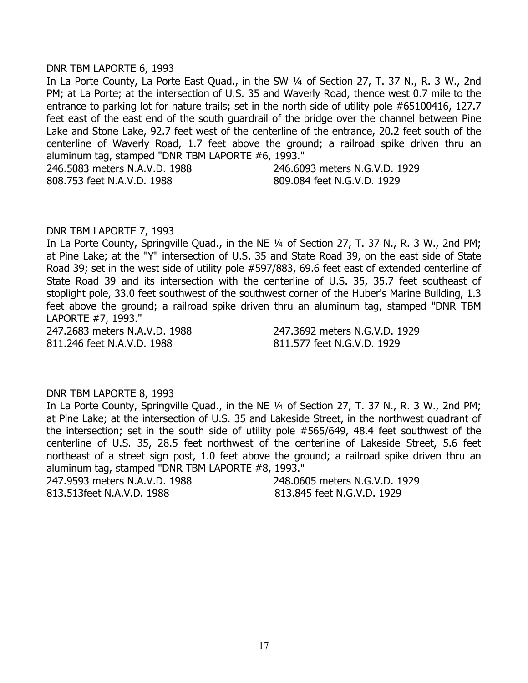#### DNR TBM LAPORTE 6, 1993

In La Porte County, La Porte East Quad., in the SW 1/4 of Section 27, T. 37 N., R. 3 W., 2nd PM; at La Porte; at the intersection of U.S. 35 and Waverly Road, thence west 0.7 mile to the entrance to parking lot for nature trails; set in the north side of utility pole #65100416, 127.7 feet east of the east end of the south guardrail of the bridge over the channel between Pine Lake and Stone Lake, 92.7 feet west of the centerline of the entrance, 20.2 feet south of the centerline of Waverly Road, 1.7 feet above the ground; a railroad spike driven thru an aluminum tag, stamped "DNR TBM LAPORTE #6, 1993." 246.5083 meters N.A.V.D. 1988 246.6093 meters N.G.V.D. 1929

808.753 feet N.A.V.D. 1988 809.084 feet N.G.V.D. 1929

### DNR TBM LAPORTE 7, 1993

In La Porte County, Springville Quad., in the NE 1/4 of Section 27, T. 37 N., R. 3 W., 2nd PM; at Pine Lake; at the "Y" intersection of U.S. 35 and State Road 39, on the east side of State Road 39; set in the west side of utility pole #597/883, 69.6 feet east of extended centerline of State Road 39 and its intersection with the centerline of U.S. 35, 35.7 feet southeast of stoplight pole, 33.0 feet southwest of the southwest corner of the Huber's Marine Building, 1.3 feet above the ground; a railroad spike driven thru an aluminum tag, stamped "DNR TBM LAPORTE #7, 1993."

247.2683 meters N.A.V.D. 1988 247.3692 meters N.G.V.D. 1929 811.246 feet N.A.V.D. 1988 811.577 feet N.G.V.D. 1929

### DNR TBM LAPORTE 8, 1993

In La Porte County, Springville Quad., in the NE 1/4 of Section 27, T. 37 N., R. 3 W., 2nd PM; at Pine Lake; at the intersection of U.S. 35 and Lakeside Street, in the northwest quadrant of the intersection; set in the south side of utility pole #565/649, 48.4 feet southwest of the centerline of U.S. 35, 28.5 feet northwest of the centerline of Lakeside Street, 5.6 feet northeast of a street sign post, 1.0 feet above the ground; a railroad spike driven thru an aluminum tag, stamped "DNR TBM LAPORTE #8, 1993."

247.9593 meters N.A.V.D. 1988 248.0605 meters N.G.V.D. 1929 813.513feet N.A.V.D. 1988 813.845 feet N.G.V.D. 1929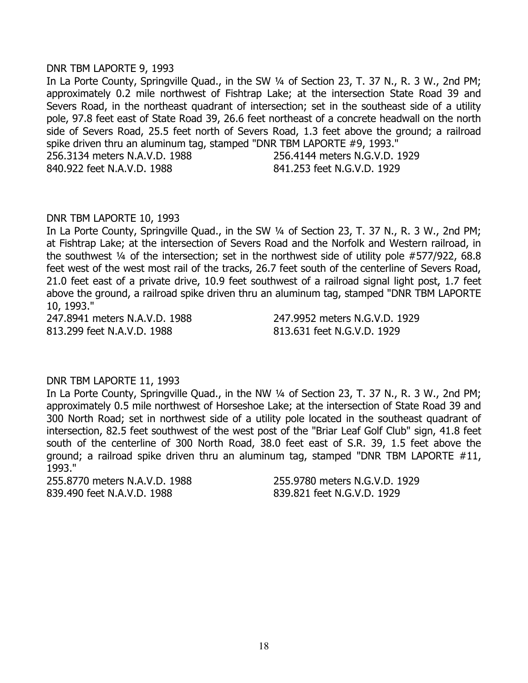### DNR TBM LAPORTE 9, 1993

In La Porte County, Springville Quad., in the SW 1/4 of Section 23, T. 37 N., R. 3 W., 2nd PM; approximately 0.2 mile northwest of Fishtrap Lake; at the intersection State Road 39 and Severs Road, in the northeast quadrant of intersection; set in the southeast side of a utility pole, 97.8 feet east of State Road 39, 26.6 feet northeast of a concrete headwall on the north side of Severs Road, 25.5 feet north of Severs Road, 1.3 feet above the ground; a railroad spike driven thru an aluminum tag, stamped "DNR TBM LAPORTE #9, 1993." 256.3134 meters N.A.V.D. 1988 256.4144 meters N.G.V.D. 1929 840.922 feet N.A.V.D. 1988 841.253 feet N.G.V.D. 1929

### DNR TBM LAPORTE 10, 1993

In La Porte County, Springville Quad., in the SW 1/4 of Section 23, T. 37 N., R. 3 W., 2nd PM; at Fishtrap Lake; at the intersection of Severs Road and the Norfolk and Western railroad, in the southwest ¼ of the intersection; set in the northwest side of utility pole #577/922, 68.8 feet west of the west most rail of the tracks, 26.7 feet south of the centerline of Severs Road, 21.0 feet east of a private drive, 10.9 feet southwest of a railroad signal light post, 1.7 feet above the ground, a railroad spike driven thru an aluminum tag, stamped "DNR TBM LAPORTE 10, 1993."

813.299 feet N.A.V.D. 1988 813.631 feet N.G.V.D. 1929

247.8941 meters N.A.V.D. 1988 247.9952 meters N.G.V.D. 1929

### DNR TBM LAPORTE 11, 1993

In La Porte County, Springville Quad., in the NW 1/4 of Section 23, T. 37 N., R. 3 W., 2nd PM; approximately 0.5 mile northwest of Horseshoe Lake; at the intersection of State Road 39 and 300 North Road; set in northwest side of a utility pole located in the southeast quadrant of intersection, 82.5 feet southwest of the west post of the "Briar Leaf Golf Club" sign, 41.8 feet south of the centerline of 300 North Road, 38.0 feet east of S.R. 39, 1.5 feet above the ground; a railroad spike driven thru an aluminum tag, stamped "DNR TBM LAPORTE #11, 1993."

255.8770 meters N.A.V.D. 1988 255.9780 meters N.G.V.D. 1929 839.490 feet N.A.V.D. 1988 839.821 feet N.G.V.D. 1929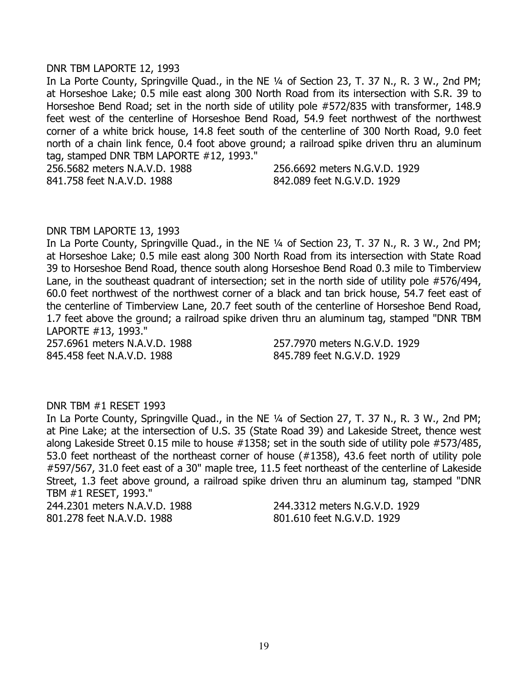#### DNR TBM LAPORTE 12, 1993

In La Porte County, Springville Quad., in the NE 1/4 of Section 23, T. 37 N., R. 3 W., 2nd PM; at Horseshoe Lake; 0.5 mile east along 300 North Road from its intersection with S.R. 39 to Horseshoe Bend Road; set in the north side of utility pole #572/835 with transformer, 148.9 feet west of the centerline of Horseshoe Bend Road, 54.9 feet northwest of the northwest corner of a white brick house, 14.8 feet south of the centerline of 300 North Road, 9.0 feet north of a chain link fence, 0.4 foot above ground; a railroad spike driven thru an aluminum tag, stamped DNR TBM LAPORTE #12, 1993."

256.5682 meters N.A.V.D. 1988 256.6692 meters N.G.V.D. 1929

841.758 feet N.A.V.D. 1988 842.089 feet N.G.V.D. 1929

#### DNR TBM LAPORTE 13, 1993

In La Porte County, Springville Quad., in the NE 1/4 of Section 23, T. 37 N., R. 3 W., 2nd PM; at Horseshoe Lake; 0.5 mile east along 300 North Road from its intersection with State Road 39 to Horseshoe Bend Road, thence south along Horseshoe Bend Road 0.3 mile to Timberview Lane, in the southeast quadrant of intersection; set in the north side of utility pole #576/494, 60.0 feet northwest of the northwest corner of a black and tan brick house, 54.7 feet east of the centerline of Timberview Lane, 20.7 feet south of the centerline of Horseshoe Bend Road, 1.7 feet above the ground; a railroad spike driven thru an aluminum tag, stamped "DNR TBM LAPORTE #13, 1993."

257.6961 meters N.A.V.D. 1988 257.7970 meters N.G.V.D. 1929 845.458 feet N.A.V.D. 1988 845.789 feet N.G.V.D. 1929

#### DNR TBM #1 RESET 1993

In La Porte County, Springville Quad., in the NE 1/4 of Section 27, T. 37 N., R. 3 W., 2nd PM; at Pine Lake; at the intersection of U.S. 35 (State Road 39) and Lakeside Street, thence west along Lakeside Street 0.15 mile to house #1358; set in the south side of utility pole #573/485, 53.0 feet northeast of the northeast corner of house (#1358), 43.6 feet north of utility pole #597/567, 31.0 feet east of a 30" maple tree, 11.5 feet northeast of the centerline of Lakeside Street, 1.3 feet above ground, a railroad spike driven thru an aluminum tag, stamped "DNR TBM #1 RESET, 1993."

801.278 feet N.A.V.D. 1988 801.610 feet N.G.V.D. 1929

244.2301 meters N.A.V.D. 1988 244.3312 meters N.G.V.D. 1929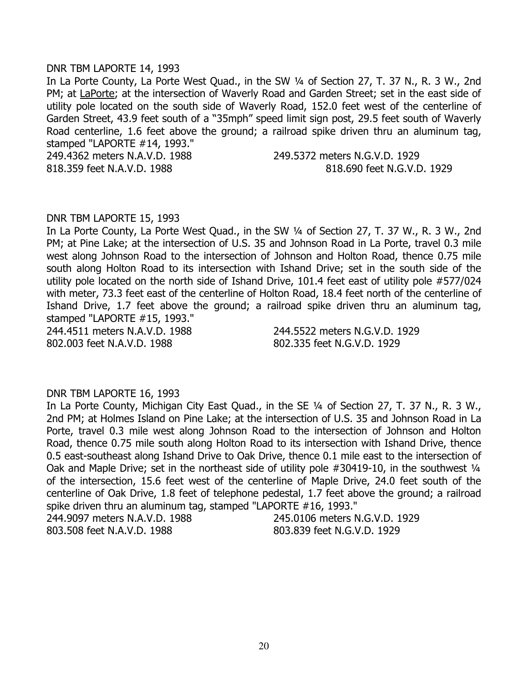### DNR TBM LAPORTE 14, 1993

In La Porte County, La Porte West Quad., in the SW ¼ of Section 27, T. 37 N., R. 3 W., 2nd PM; at LaPorte; at the intersection of Waverly Road and Garden Street; set in the east side of utility pole located on the south side of Waverly Road, 152.0 feet west of the centerline of Garden Street, 43.9 feet south of a "35mph" speed limit sign post, 29.5 feet south of Waverly Road centerline, 1.6 feet above the ground; a railroad spike driven thru an aluminum tag, stamped "LAPORTE #14, 1993."

249.4362 meters N.A.V.D. 1988 249.5372 meters N.G.V.D. 1929 818.359 feet N.A.V.D. 1988 818.690 feet N.G.V.D. 1929

#### DNR TBM LAPORTE 15, 1993

In La Porte County, La Porte West Quad., in the SW 1/4 of Section 27, T. 37 W., R. 3 W., 2nd PM; at Pine Lake; at the intersection of U.S. 35 and Johnson Road in La Porte, travel 0.3 mile west along Johnson Road to the intersection of Johnson and Holton Road, thence 0.75 mile south along Holton Road to its intersection with Ishand Drive; set in the south side of the utility pole located on the north side of Ishand Drive, 101.4 feet east of utility pole #577/024 with meter, 73.3 feet east of the centerline of Holton Road, 18.4 feet north of the centerline of Ishand Drive, 1.7 feet above the ground; a railroad spike driven thru an aluminum tag, stamped "LAPORTE #15, 1993."

802.003 feet N.A.V.D. 1988 802.335 feet N.G.V.D. 1929

244.4511 meters N.A.V.D. 1988 244.5522 meters N.G.V.D. 1929

## DNR TBM LAPORTE 16, 1993

In La Porte County, Michigan City East Quad., in the SE 1/4 of Section 27, T. 37 N., R. 3 W., 2nd PM; at Holmes Island on Pine Lake; at the intersection of U.S. 35 and Johnson Road in La Porte, travel 0.3 mile west along Johnson Road to the intersection of Johnson and Holton Road, thence 0.75 mile south along Holton Road to its intersection with Ishand Drive, thence 0.5 east-southeast along Ishand Drive to Oak Drive, thence 0.1 mile east to the intersection of Oak and Maple Drive; set in the northeast side of utility pole #30419-10, in the southwest 1/4 of the intersection, 15.6 feet west of the centerline of Maple Drive, 24.0 feet south of the centerline of Oak Drive, 1.8 feet of telephone pedestal, 1.7 feet above the ground; a railroad spike driven thru an aluminum tag, stamped "LAPORTE #16, 1993." 244.9097 meters N.A.V.D. 1988 245.0106 meters N.G.V.D. 1929

803.508 feet N.A.V.D. 1988 803.839 feet N.G.V.D. 1929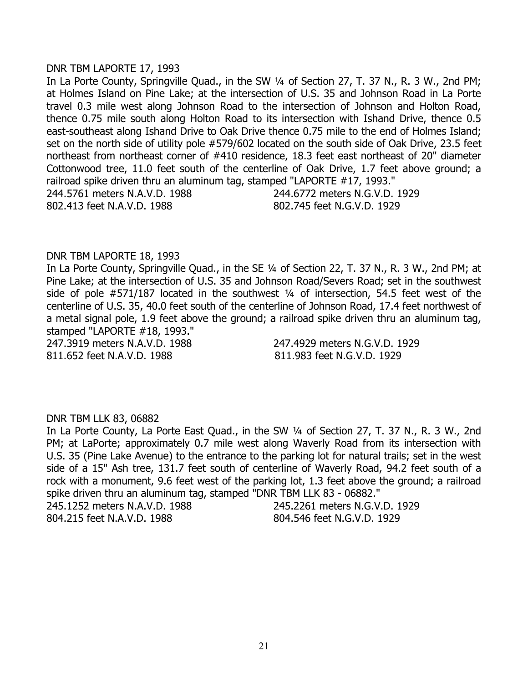#### DNR TBM LAPORTE 17, 1993

In La Porte County, Springville Quad., in the SW 1/4 of Section 27, T. 37 N., R. 3 W., 2nd PM; at Holmes Island on Pine Lake; at the intersection of U.S. 35 and Johnson Road in La Porte travel 0.3 mile west along Johnson Road to the intersection of Johnson and Holton Road, thence 0.75 mile south along Holton Road to its intersection with Ishand Drive, thence 0.5 east-southeast along Ishand Drive to Oak Drive thence 0.75 mile to the end of Holmes Island; set on the north side of utility pole #579/602 located on the south side of Oak Drive, 23.5 feet northeast from northeast corner of #410 residence, 18.3 feet east northeast of 20" diameter Cottonwood tree, 11.0 feet south of the centerline of Oak Drive, 1.7 feet above ground; a railroad spike driven thru an aluminum tag, stamped "LAPORTE #17, 1993." 244.5761 meters N.A.V.D. 1988 244.6772 meters N.G.V.D. 1929 802.413 feet N.A.V.D. 1988 802.745 feet N.G.V.D. 1929

### DNR TBM LAPORTE 18, 1993

In La Porte County, Springville Quad., in the SE ¼ of Section 22, T. 37 N., R. 3 W., 2nd PM; at Pine Lake; at the intersection of U.S. 35 and Johnson Road/Severs Road; set in the southwest side of pole #571/187 located in the southwest 1/4 of intersection, 54.5 feet west of the centerline of U.S. 35, 40.0 feet south of the centerline of Johnson Road, 17.4 feet northwest of a metal signal pole, 1.9 feet above the ground; a railroad spike driven thru an aluminum tag, stamped "LAPORTE #18, 1993."

247.3919 meters N.A.V.D. 1988 247.4929 meters N.G.V.D. 1929 811.652 feet N.A.V.D. 1988 811.983 feet N.G.V.D. 1929

#### DNR TBM LLK 83, 06882

In La Porte County, La Porte East Quad., in the SW 1/4 of Section 27, T. 37 N., R. 3 W., 2nd PM; at LaPorte; approximately 0.7 mile west along Waverly Road from its intersection with U.S. 35 (Pine Lake Avenue) to the entrance to the parking lot for natural trails; set in the west side of a 15" Ash tree, 131.7 feet south of centerline of Waverly Road, 94.2 feet south of a rock with a monument, 9.6 feet west of the parking lot, 1.3 feet above the ground; a railroad spike driven thru an aluminum tag, stamped "DNR TBM LLK 83 - 06882." 245.1252 meters N.A.V.D. 1988 245.2261 meters N.G.V.D. 1929

804.215 feet N.A.V.D. 1988 804.546 feet N.G.V.D. 1929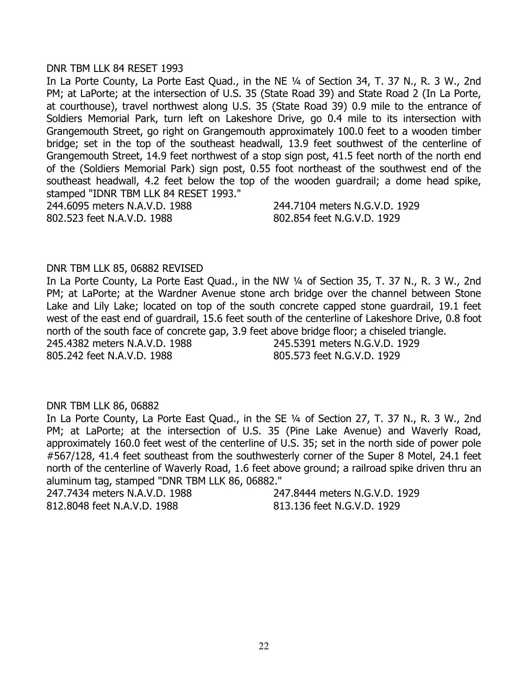#### DNR TBM LLK 84 RESET 1993

In La Porte County, La Porte East Quad., in the NE 1/4 of Section 34, T. 37 N., R. 3 W., 2nd PM; at LaPorte; at the intersection of U.S. 35 (State Road 39) and State Road 2 (In La Porte, at courthouse), travel northwest along U.S. 35 (State Road 39) 0.9 mile to the entrance of Soldiers Memorial Park, turn left on Lakeshore Drive, go 0.4 mile to its intersection with Grangemouth Street, go right on Grangemouth approximately 100.0 feet to a wooden timber bridge; set in the top of the southeast headwall, 13.9 feet southwest of the centerline of Grangemouth Street, 14.9 feet northwest of a stop sign post, 41.5 feet north of the north end of the (Soldiers Memorial Park) sign post, 0.55 foot northeast of the southwest end of the southeast headwall, 4.2 feet below the top of the wooden guardrail; a dome head spike, stamped "IDNR TBM LLK 84 RESET 1993." 244.6095 meters N.A.V.D. 1988 244.7104 meters N.G.V.D. 1929

802.523 feet N.A.V.D. 1988 802.854 feet N.G.V.D. 1929

### DNR TBM LLK 85, 06882 REVISED

In La Porte County, La Porte East Quad., in the NW 1/4 of Section 35, T. 37 N., R. 3 W., 2nd PM; at LaPorte; at the Wardner Avenue stone arch bridge over the channel between Stone Lake and Lily Lake; located on top of the south concrete capped stone guardrail, 19.1 feet west of the east end of guardrail, 15.6 feet south of the centerline of Lakeshore Drive, 0.8 foot north of the south face of concrete gap, 3.9 feet above bridge floor; a chiseled triangle. 245.4382 meters N.A.V.D. 1988 245.5391 meters N.G.V.D. 1929 805.242 feet N.A.V.D. 1988 805.573 feet N.G.V.D. 1929

### DNR TBM LLK 86, 06882

In La Porte County, La Porte East Quad., in the SE ¼ of Section 27, T. 37 N., R. 3 W., 2nd PM; at LaPorte; at the intersection of U.S. 35 (Pine Lake Avenue) and Waverly Road, approximately 160.0 feet west of the centerline of U.S. 35; set in the north side of power pole #567/128, 41.4 feet southeast from the southwesterly corner of the Super 8 Motel, 24.1 feet north of the centerline of Waverly Road, 1.6 feet above ground; a railroad spike driven thru an aluminum tag, stamped "DNR TBM LLK 86, 06882."

247.7434 meters N.A.V.D. 1988 247.8444 meters N.G.V.D. 1929 812.8048 feet N.A.V.D. 1988 813.136 feet N.G.V.D. 1929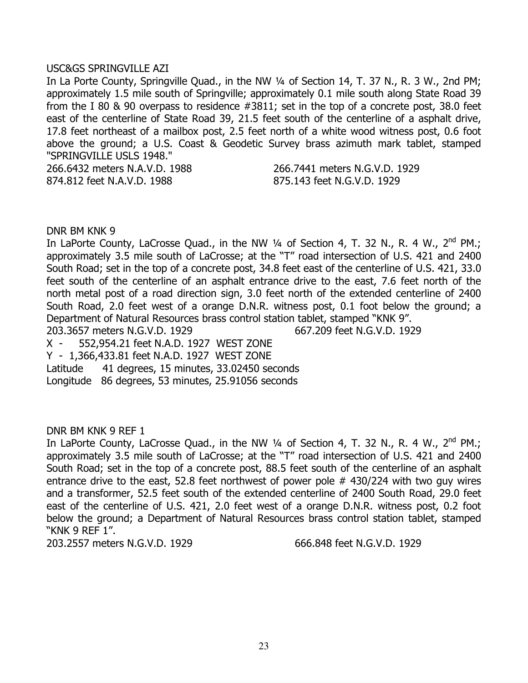### USC&GS SPRINGVILLE AZI

In La Porte County, Springville Quad., in the NW 1/4 of Section 14, T. 37 N., R. 3 W., 2nd PM; approximately 1.5 mile south of Springville; approximately 0.1 mile south along State Road 39 from the I 80 & 90 overpass to residence #3811; set in the top of a concrete post, 38.0 feet east of the centerline of State Road 39, 21.5 feet south of the centerline of a asphalt drive, 17.8 feet northeast of a mailbox post, 2.5 feet north of a white wood witness post, 0.6 foot above the ground; a U.S. Coast & Geodetic Survey brass azimuth mark tablet, stamped "SPRINGVILLE USLS 1948."

874.812 feet N.A.V.D. 1988 875.143 feet N.G.V.D. 1929

266.6432 meters N.A.V.D. 1988 266.7441 meters N.G.V.D. 1929

### DNR BM KNK 9

In LaPorte County, LaCrosse Quad., in the NW  $\frac{1}{4}$  of Section 4, T. 32 N., R. 4 W., 2<sup>nd</sup> PM.; approximately 3.5 mile south of LaCrosse; at the "T" road intersection of U.S. 421 and 2400 South Road; set in the top of a concrete post, 34.8 feet east of the centerline of U.S. 421, 33.0 feet south of the centerline of an asphalt entrance drive to the east, 7.6 feet north of the north metal post of a road direction sign, 3.0 feet north of the extended centerline of 2400 South Road, 2.0 feet west of a orange D.N.R. witness post, 0.1 foot below the ground; a Department of Natural Resources brass control station tablet, stamped "KNK 9". 203.3657 meters N.G.V.D. 1929 667.209 feet N.G.V.D. 1929 X - 552,954.21 feet N.A.D. 1927 WEST ZONE

Y - 1,366,433.81 feet N.A.D. 1927 WEST ZONE

Latitude 41 degrees, 15 minutes, 33.02450 seconds

Longitude 86 degrees, 53 minutes, 25.91056 seconds

### DNR BM KNK 9 REF 1

In LaPorte County, LaCrosse Quad., in the NW  $\frac{1}{4}$  of Section 4, T. 32 N., R. 4 W., 2<sup>nd</sup> PM.; approximately 3.5 mile south of LaCrosse; at the "T" road intersection of U.S. 421 and 2400 South Road; set in the top of a concrete post, 88.5 feet south of the centerline of an asphalt entrance drive to the east, 52.8 feet northwest of power pole  $#$  430/224 with two guy wires and a transformer, 52.5 feet south of the extended centerline of 2400 South Road, 29.0 feet east of the centerline of U.S. 421, 2.0 feet west of a orange D.N.R. witness post, 0.2 foot below the ground; a Department of Natural Resources brass control station tablet, stamped "KNK 9 REF 1".

203.2557 meters N.G.V.D. 1929 666.848 feet N.G.V.D. 1929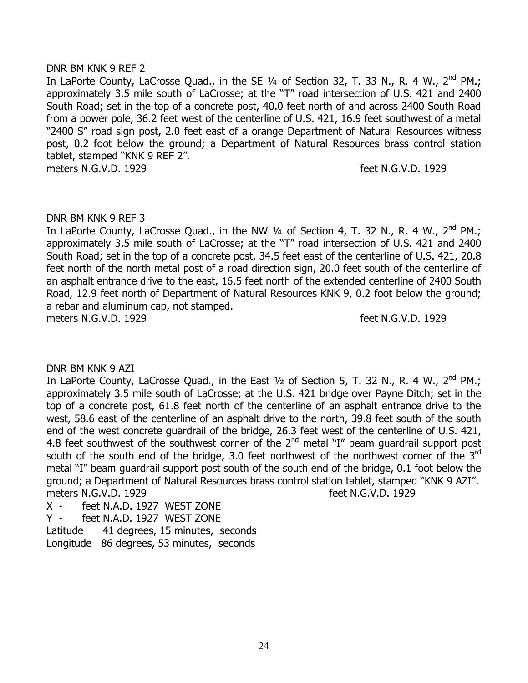### DNR BM KNK 9 REF 2

In LaPorte County, LaCrosse Quad., in the SE 1/4 of Section 32, T. 33 N., R. 4 W., 2<sup>nd</sup> PM.; approximately 3.5 mile south of LaCrosse; at the "T" road intersection of U.S. 421 and 2400 South Road; set in the top of a concrete post, 40.0 feet north of and across 2400 South Road from a power pole, 36.2 feet west of the centerline of U.S. 421, 16.9 feet southwest of a metal "2400 S" road sign post, 2.0 feet east of a orange Department of Natural Resources witness post, 0.2 foot below the ground; a Department of Natural Resources brass control station tablet, stamped "KNK 9 REF 2". meters N.G.V.D. 1929 **feet N.G.V.D.** 1929

## DNR BM KNK 9 REF 3

In LaPorte County, LaCrosse Quad., in the NW  $\frac{1}{4}$  of Section 4, T. 32 N., R. 4 W., 2<sup>nd</sup> PM.; approximately 3.5 mile south of LaCrosse; at the "T" road intersection of U.S. 421 and 2400 South Road; set in the top of a concrete post, 34.5 feet east of the centerline of U.S. 421, 20.8 feet north of the north metal post of a road direction sign, 20.0 feet south of the centerline of an asphalt entrance drive to the east, 16.5 feet north of the extended centerline of 2400 South Road, 12.9 feet north of Department of Natural Resources KNK 9, 0.2 foot below the ground; a rebar and aluminum cap, not stamped. meters N.G.V.D. 1929 **feet N.G.V.D.** 1929

### DNR BM KNK 9 AZI

In LaPorte County, LaCrosse Quad., in the East  $1/2$  of Section 5, T. 32 N., R. 4 W.,  $2^{nd}$  PM.; approximately 3.5 mile south of LaCrosse; at the U.S. 421 bridge over Payne Ditch; set in the top of a concrete post, 61.8 feet north of the centerline of an asphalt entrance drive to the west, 58.6 east of the centerline of an asphalt drive to the north, 39.8 feet south of the south end of the west concrete guardrail of the bridge, 26.3 feet west of the centerline of U.S. 421, 4.8 feet southwest of the southwest corner of the  $2<sup>nd</sup>$  metal "I" beam quardrail support post south of the south end of the bridge, 3.0 feet northwest of the northwest corner of the 3<sup>rd</sup> metal "I" beam guardrail support post south of the south end of the bridge, 0.1 foot below the ground; a Department of Natural Resources brass control station tablet, stamped "KNK 9 AZI". meters N.G.V.D. 1929 **feet N.G.V.D.** 1929

X - feet N.A.D. 1927 WEST ZONE

Y - feet N.A.D. 1927 WEST ZONE

Latitude 41 degrees, 15 minutes, seconds

Longitude 86 degrees, 53 minutes, seconds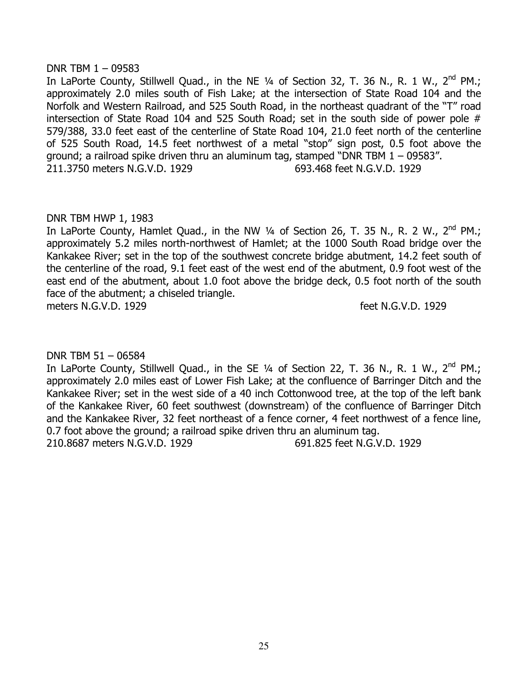# DNR TBM 1 – 09583

In LaPorte County, Stillwell Quad., in the NE  $\frac{1}{4}$  of Section 32, T. 36 N., R. 1 W., 2<sup>nd</sup> PM.; approximately 2.0 miles south of Fish Lake; at the intersection of State Road 104 and the Norfolk and Western Railroad, and 525 South Road, in the northeast quadrant of the "T" road intersection of State Road 104 and 525 South Road; set in the south side of power pole # 579/388, 33.0 feet east of the centerline of State Road 104, 21.0 feet north of the centerline of 525 South Road, 14.5 feet northwest of a metal "stop" sign post, 0.5 foot above the ground; a railroad spike driven thru an aluminum tag, stamped "DNR TBM 1 – 09583". 211.3750 meters N.G.V.D. 1929 693.468 feet N.G.V.D. 1929

## DNR TBM HWP 1, 1983

In LaPorte County, Hamlet Quad., in the NW  $\frac{1}{4}$  of Section 26, T. 35 N., R. 2 W., 2<sup>nd</sup> PM.; approximately 5.2 miles north-northwest of Hamlet; at the 1000 South Road bridge over the Kankakee River; set in the top of the southwest concrete bridge abutment, 14.2 feet south of the centerline of the road, 9.1 feet east of the west end of the abutment, 0.9 foot west of the east end of the abutment, about 1.0 foot above the bridge deck, 0.5 foot north of the south face of the abutment; a chiseled triangle. meters N.G.V.D. 1929 **feet N.G.V.D.** 1929

# DNR TBM 51 – 06584

In LaPorte County, Stillwell Quad., in the SE 1/4 of Section 22, T. 36 N., R. 1 W., 2<sup>nd</sup> PM.; approximately 2.0 miles east of Lower Fish Lake; at the confluence of Barringer Ditch and the Kankakee River; set in the west side of a 40 inch Cottonwood tree, at the top of the left bank of the Kankakee River, 60 feet southwest (downstream) of the confluence of Barringer Ditch and the Kankakee River, 32 feet northeast of a fence corner, 4 feet northwest of a fence line, 0.7 foot above the ground; a railroad spike driven thru an aluminum tag. 210.8687 meters N.G.V.D. 1929 691.825 feet N.G.V.D. 1929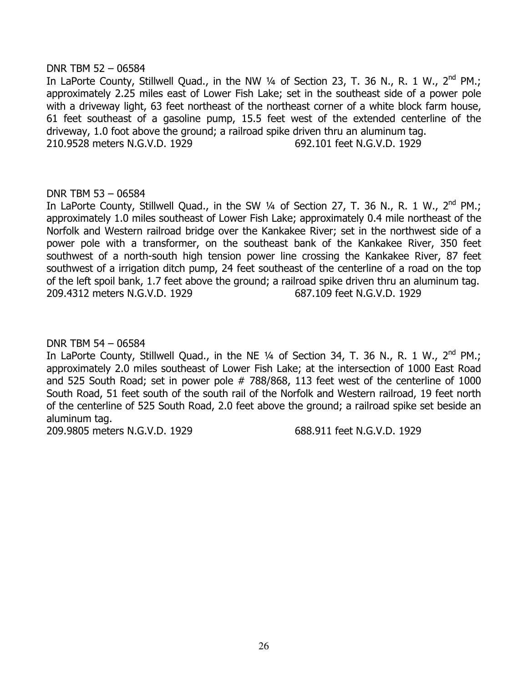## DNR TBM 52 – 06584

In LaPorte County, Stillwell Quad., in the NW  $\frac{1}{4}$  of Section 23, T. 36 N., R. 1 W., 2<sup>nd</sup> PM.; approximately 2.25 miles east of Lower Fish Lake; set in the southeast side of a power pole with a driveway light, 63 feet northeast of the northeast corner of a white block farm house, 61 feet southeast of a gasoline pump, 15.5 feet west of the extended centerline of the driveway, 1.0 foot above the ground; a railroad spike driven thru an aluminum tag. 210.9528 meters N.G.V.D. 1929 692.101 feet N.G.V.D. 1929

## DNR TBM 53 – 06584

In LaPorte County, Stillwell Quad., in the SW  $\frac{1}{4}$  of Section 27, T. 36 N., R. 1 W., 2<sup>nd</sup> PM.; approximately 1.0 miles southeast of Lower Fish Lake; approximately 0.4 mile northeast of the Norfolk and Western railroad bridge over the Kankakee River; set in the northwest side of a power pole with a transformer, on the southeast bank of the Kankakee River, 350 feet southwest of a north-south high tension power line crossing the Kankakee River, 87 feet southwest of a irrigation ditch pump, 24 feet southeast of the centerline of a road on the top of the left spoil bank, 1.7 feet above the ground; a railroad spike driven thru an aluminum tag. 209.4312 meters N.G.V.D. 1929 687.109 feet N.G.V.D. 1929

DNR TBM 54 – 06584

In LaPorte County, Stillwell Quad., in the NE  $\frac{1}{4}$  of Section 34, T. 36 N., R. 1 W., 2<sup>nd</sup> PM.; approximately 2.0 miles southeast of Lower Fish Lake; at the intersection of 1000 East Road and 525 South Road; set in power pole # 788/868, 113 feet west of the centerline of 1000 South Road, 51 feet south of the south rail of the Norfolk and Western railroad, 19 feet north of the centerline of 525 South Road, 2.0 feet above the ground; a railroad spike set beside an aluminum tag.

209.9805 meters N.G.V.D. 1929 688.911 feet N.G.V.D. 1929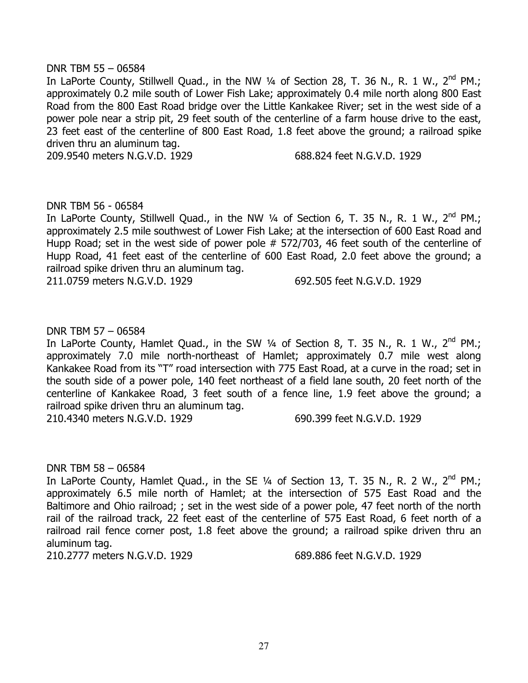## DNR TBM 55 – 06584

In LaPorte County, Stillwell Quad., in the NW 1/4 of Section 28, T. 36 N., R. 1 W., 2<sup>nd</sup> PM.; approximately 0.2 mile south of Lower Fish Lake; approximately 0.4 mile north along 800 East Road from the 800 East Road bridge over the Little Kankakee River; set in the west side of a power pole near a strip pit, 29 feet south of the centerline of a farm house drive to the east, 23 feet east of the centerline of 800 East Road, 1.8 feet above the ground; a railroad spike driven thru an aluminum tag.

209.9540 meters N.G.V.D. 1929 688.824 feet N.G.V.D. 1929

## DNR TBM 56 - 06584

In LaPorte County, Stillwell Quad., in the NW  $\frac{1}{4}$  of Section 6, T. 35 N., R. 1 W., 2<sup>nd</sup> PM.; approximately 2.5 mile southwest of Lower Fish Lake; at the intersection of 600 East Road and Hupp Road; set in the west side of power pole # 572/703, 46 feet south of the centerline of Hupp Road, 41 feet east of the centerline of 600 East Road, 2.0 feet above the ground; a railroad spike driven thru an aluminum tag.

211.0759 meters N.G.V.D. 1929 692.505 feet N.G.V.D. 1929

# DNR TBM 57 – 06584

In LaPorte County, Hamlet Quad., in the SW  $\frac{1}{4}$  of Section 8, T. 35 N., R. 1 W., 2<sup>nd</sup> PM.; approximately 7.0 mile north-northeast of Hamlet; approximately 0.7 mile west along Kankakee Road from its "T" road intersection with 775 East Road, at a curve in the road; set in the south side of a power pole, 140 feet northeast of a field lane south, 20 feet north of the centerline of Kankakee Road, 3 feet south of a fence line, 1.9 feet above the ground; a railroad spike driven thru an aluminum tag.

210.4340 meters N.G.V.D. 1929 690.399 feet N.G.V.D. 1929

### DNR TBM 58 – 06584

In LaPorte County, Hamlet Quad., in the SE  $\frac{1}{4}$  of Section 13, T. 35 N., R. 2 W., 2<sup>nd</sup> PM.; approximately 6.5 mile north of Hamlet; at the intersection of 575 East Road and the Baltimore and Ohio railroad; ; set in the west side of a power pole, 47 feet north of the north rail of the railroad track, 22 feet east of the centerline of 575 East Road, 6 feet north of a railroad rail fence corner post, 1.8 feet above the ground; a railroad spike driven thru an aluminum tag.

210.2777 meters N.G.V.D. 1929 689.886 feet N.G.V.D. 1929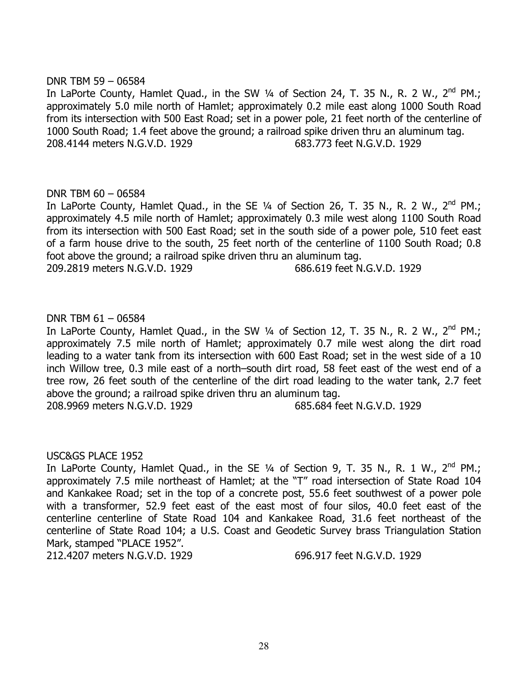## DNR TBM 59 – 06584

In LaPorte County, Hamlet Quad., in the SW 1/4 of Section 24, T. 35 N., R. 2 W., 2<sup>nd</sup> PM.: approximately 5.0 mile north of Hamlet; approximately 0.2 mile east along 1000 South Road from its intersection with 500 East Road; set in a power pole, 21 feet north of the centerline of 1000 South Road; 1.4 feet above the ground; a railroad spike driven thru an aluminum tag. 208.4144 meters N.G.V.D. 1929 683.773 feet N.G.V.D. 1929

## DNR TBM 60 – 06584

In LaPorte County, Hamlet Quad., in the SE  $\frac{1}{4}$  of Section 26, T. 35 N., R. 2 W., 2<sup>nd</sup> PM.; approximately 4.5 mile north of Hamlet; approximately 0.3 mile west along 1100 South Road from its intersection with 500 East Road; set in the south side of a power pole, 510 feet east of a farm house drive to the south, 25 feet north of the centerline of 1100 South Road; 0.8 foot above the ground; a railroad spike driven thru an aluminum tag.

209.2819 meters N.G.V.D. 1929 686.619 feet N.G.V.D. 1929

## DNR TBM 61 – 06584

In LaPorte County, Hamlet Quad., in the SW  $\frac{1}{4}$  of Section 12, T. 35 N., R. 2 W.,  $2^{\text{nd}}$  PM.; approximately 7.5 mile north of Hamlet; approximately 0.7 mile west along the dirt road leading to a water tank from its intersection with 600 East Road; set in the west side of a 10 inch Willow tree, 0.3 mile east of a north–south dirt road, 58 feet east of the west end of a tree row, 26 feet south of the centerline of the dirt road leading to the water tank, 2.7 feet above the ground; a railroad spike driven thru an aluminum tag.

208.9969 meters N.G.V.D. 1929 685.684 feet N.G.V.D. 1929

### USC&GS PLACE 1952

In LaPorte County, Hamlet Quad., in the SE  $\frac{1}{4}$  of Section 9, T. 35 N., R. 1 W., 2<sup>nd</sup> PM.; approximately 7.5 mile northeast of Hamlet; at the "T" road intersection of State Road 104 and Kankakee Road; set in the top of a concrete post, 55.6 feet southwest of a power pole with a transformer, 52.9 feet east of the east most of four silos, 40.0 feet east of the centerline centerline of State Road 104 and Kankakee Road, 31.6 feet northeast of the centerline of State Road 104; a U.S. Coast and Geodetic Survey brass Triangulation Station Mark, stamped "PLACE 1952".

212.4207 meters N.G.V.D. 1929 696.917 feet N.G.V.D. 1929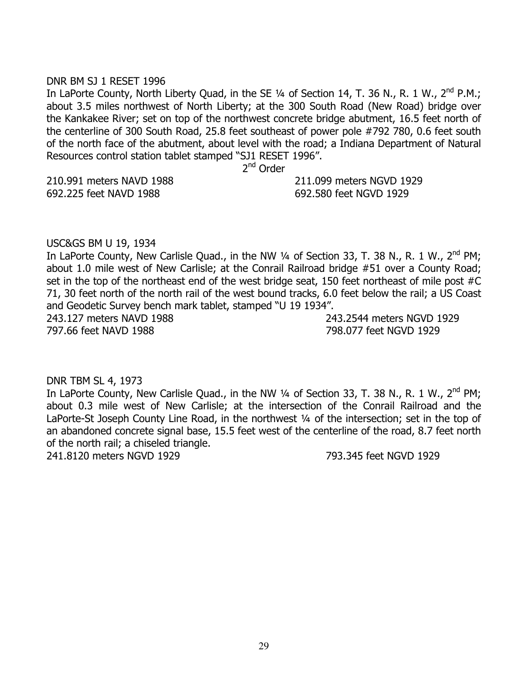### DNR BM SJ 1 RESET 1996

In LaPorte County, North Liberty Quad, in the SE 1/4 of Section 14, T. 36 N., R. 1 W., 2<sup>nd</sup> P.M.; about 3.5 miles northwest of North Liberty; at the 300 South Road (New Road) bridge over the Kankakee River; set on top of the northwest concrete bridge abutment, 16.5 feet north of the centerline of 300 South Road, 25.8 feet southeast of power pole #792 780, 0.6 feet south of the north face of the abutment, about level with the road; a Indiana Department of Natural Resources control station tablet stamped "SJ1 RESET 1996".

2<sup>nd</sup> Order

210.991 meters NAVD 1988 211.099 meters NGVD 1929 692.225 feet NAVD 1988 692.580 feet NGVD 1929

#### USC&GS BM U 19, 1934

In LaPorte County, New Carlisle Quad., in the NW  $\frac{1}{4}$  of Section 33, T. 38 N., R. 1 W., 2<sup>nd</sup> PM; about 1.0 mile west of New Carlisle; at the Conrail Railroad bridge #51 over a County Road; set in the top of the northeast end of the west bridge seat, 150 feet northeast of mile post #C 71, 30 feet north of the north rail of the west bound tracks, 6.0 feet below the rail; a US Coast and Geodetic Survey bench mark tablet, stamped "U 19 1934". 243.127 meters NAVD 1988 243.2544 meters NGVD 1929

797.66 feet NAVD 1988 798.077 feet NGVD 1929

### DNR TBM SL 4, 1973

In LaPorte County, New Carlisle Quad., in the NW 1/4 of Section 33, T. 38 N., R. 1 W., 2<sup>nd</sup> PM; about 0.3 mile west of New Carlisle; at the intersection of the Conrail Railroad and the LaPorte-St Joseph County Line Road, in the northwest 1/4 of the intersection; set in the top of an abandoned concrete signal base, 15.5 feet west of the centerline of the road, 8.7 feet north of the north rail; a chiseled triangle.

241.8120 meters NGVD 1929 793.345 feet NGVD 1929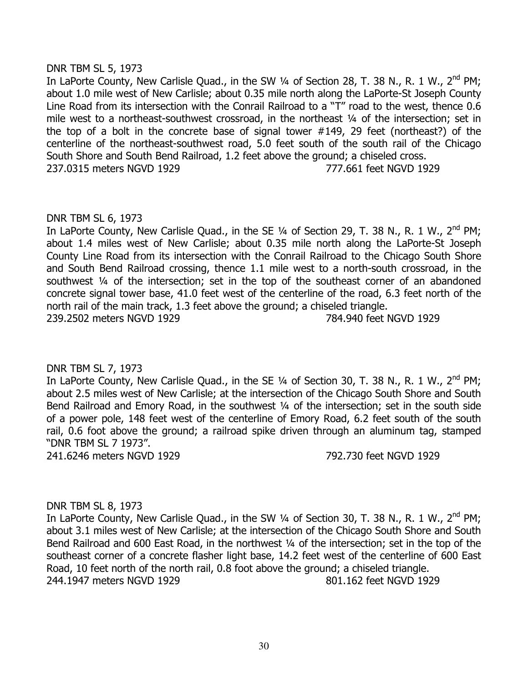# DNR TBM SL 5, 1973

In LaPorte County, New Carlisle Quad., in the SW 1/4 of Section 28, T. 38 N., R. 1 W., 2<sup>nd</sup> PM; about 1.0 mile west of New Carlisle; about 0.35 mile north along the LaPorte-St Joseph County Line Road from its intersection with the Conrail Railroad to a "T" road to the west, thence 0.6 mile west to a northeast-southwest crossroad, in the northeast 1/4 of the intersection; set in the top of a bolt in the concrete base of signal tower #149, 29 feet (northeast?) of the centerline of the northeast-southwest road, 5.0 feet south of the south rail of the Chicago South Shore and South Bend Railroad, 1.2 feet above the ground; a chiseled cross. 237.0315 meters NGVD 1929 777.661 feet NGVD 1929

## DNR TBM SL 6, 1973

In LaPorte County, New Carlisle Quad., in the SE  $\frac{1}{4}$  of Section 29, T. 38 N., R. 1 W., 2<sup>nd</sup> PM; about 1.4 miles west of New Carlisle; about 0.35 mile north along the LaPorte-St Joseph County Line Road from its intersection with the Conrail Railroad to the Chicago South Shore and South Bend Railroad crossing, thence 1.1 mile west to a north-south crossroad, in the southwest ¼ of the intersection; set in the top of the southeast corner of an abandoned concrete signal tower base, 41.0 feet west of the centerline of the road, 6.3 feet north of the north rail of the main track, 1.3 feet above the ground; a chiseled triangle. 239.2502 meters NGVD 1929 784.940 feet NGVD 1929

# DNR TBM SL 7, 1973

In LaPorte County, New Carlisle Quad., in the SE 1/4 of Section 30, T. 38 N., R. 1 W., 2<sup>nd</sup> PM; about 2.5 miles west of New Carlisle; at the intersection of the Chicago South Shore and South Bend Railroad and Emory Road, in the southwest 1/4 of the intersection; set in the south side of a power pole, 148 feet west of the centerline of Emory Road, 6.2 feet south of the south rail, 0.6 foot above the ground; a railroad spike driven through an aluminum tag, stamped "DNR TBM SL 7 1973".

241.6246 meters NGVD 1929 792.730 feet NGVD 1929

# DNR TBM SL 8, 1973

In LaPorte County, New Carlisle Quad., in the SW  $\frac{1}{4}$  of Section 30, T. 38 N., R. 1 W., 2<sup>nd</sup> PM; about 3.1 miles west of New Carlisle; at the intersection of the Chicago South Shore and South Bend Railroad and 600 East Road, in the northwest 1/4 of the intersection; set in the top of the southeast corner of a concrete flasher light base, 14.2 feet west of the centerline of 600 East Road, 10 feet north of the north rail, 0.8 foot above the ground; a chiseled triangle. 244.1947 meters NGVD 1929 801.162 feet NGVD 1929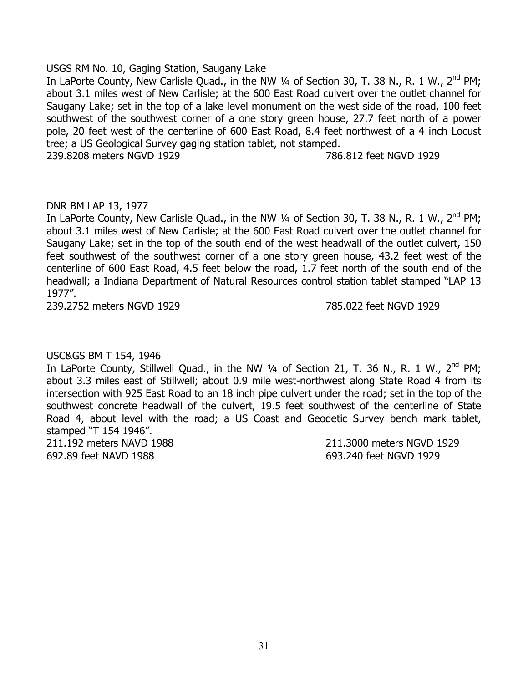# USGS RM No. 10, Gaging Station, Saugany Lake

In LaPorte County, New Carlisle Quad., in the NW 1/4 of Section 30, T. 38 N., R. 1 W., 2<sup>nd</sup> PM; about 3.1 miles west of New Carlisle; at the 600 East Road culvert over the outlet channel for Saugany Lake; set in the top of a lake level monument on the west side of the road, 100 feet southwest of the southwest corner of a one story green house, 27.7 feet north of a power pole, 20 feet west of the centerline of 600 East Road, 8.4 feet northwest of a 4 inch Locust tree; a US Geological Survey gaging station tablet, not stamped.

239.8208 meters NGVD 1929 786.812 feet NGVD 1929

# DNR BM LAP 13, 1977

In LaPorte County, New Carlisle Quad., in the NW 1/4 of Section 30, T. 38 N., R. 1 W., 2<sup>nd</sup> PM; about 3.1 miles west of New Carlisle; at the 600 East Road culvert over the outlet channel for Saugany Lake; set in the top of the south end of the west headwall of the outlet culvert, 150 feet southwest of the southwest corner of a one story green house, 43.2 feet west of the centerline of 600 East Road, 4.5 feet below the road, 1.7 feet north of the south end of the headwall; a Indiana Department of Natural Resources control station tablet stamped "LAP 13 1977".

239.2752 meters NGVD 1929 785.022 feet NGVD 1929

# USC&GS BM T 154, 1946

In LaPorte County, Stillwell Quad., in the NW  $\frac{1}{4}$  of Section 21, T. 36 N., R. 1 W., 2<sup>nd</sup> PM; about 3.3 miles east of Stillwell; about 0.9 mile west-northwest along State Road 4 from its intersection with 925 East Road to an 18 inch pipe culvert under the road; set in the top of the southwest concrete headwall of the culvert, 19.5 feet southwest of the centerline of State Road 4, about level with the road; a US Coast and Geodetic Survey bench mark tablet, stamped "T 154 1946".

692.89 feet NAVD 1988 693.240 feet NGVD 1929

211.192 meters NAVD 1988 211.3000 meters NGVD 1929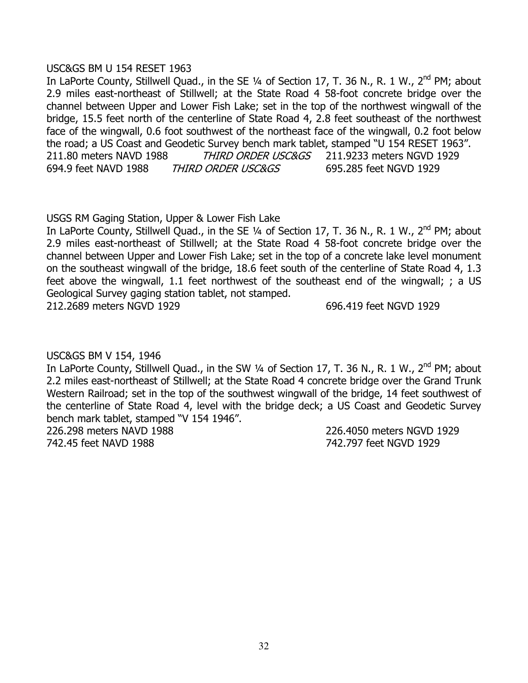## USC&GS BM U 154 RESET 1963

In LaPorte County, Stillwell Quad., in the SE 1/4 of Section 17, T. 36 N., R. 1 W., 2<sup>nd</sup> PM; about 2.9 miles east-northeast of Stillwell; at the State Road 4 58-foot concrete bridge over the channel between Upper and Lower Fish Lake; set in the top of the northwest wingwall of the bridge, 15.5 feet north of the centerline of State Road 4, 2.8 feet southeast of the northwest face of the wingwall, 0.6 foot southwest of the northeast face of the wingwall, 0.2 foot below the road; a US Coast and Geodetic Survey bench mark tablet, stamped "U 154 RESET 1963". 211.80 meters NAVD 1988 THIRD ORDER USC&GS 211.9233 meters NGVD 1929 694.9 feet NAVD 1988 THIRD ORDER USC&GS 695.285 feet NGVD 1929

USGS RM Gaging Station, Upper & Lower Fish Lake

In LaPorte County, Stillwell Quad., in the SE 1/4 of Section 17, T. 36 N., R. 1 W., 2<sup>nd</sup> PM; about 2.9 miles east-northeast of Stillwell; at the State Road 4 58-foot concrete bridge over the channel between Upper and Lower Fish Lake; set in the top of a concrete lake level monument on the southeast wingwall of the bridge, 18.6 feet south of the centerline of State Road 4, 1.3 feet above the wingwall, 1.1 feet northwest of the southeast end of the wingwall; ; a US Geological Survey gaging station tablet, not stamped.

212.2689 meters NGVD 1929 696.419 feet NGVD 1929

USC&GS BM V 154, 1946

In LaPorte County, Stillwell Quad., in the SW 1/4 of Section 17, T. 36 N., R. 1 W., 2<sup>nd</sup> PM; about 2.2 miles east-northeast of Stillwell; at the State Road 4 concrete bridge over the Grand Trunk Western Railroad; set in the top of the southwest wingwall of the bridge, 14 feet southwest of the centerline of State Road 4, level with the bridge deck; a US Coast and Geodetic Survey bench mark tablet, stamped "V 154 1946".

742.45 feet NAVD 1988 742.797 feet NGVD 1929

226.298 meters NAVD 1988 226.4050 meters NGVD 1929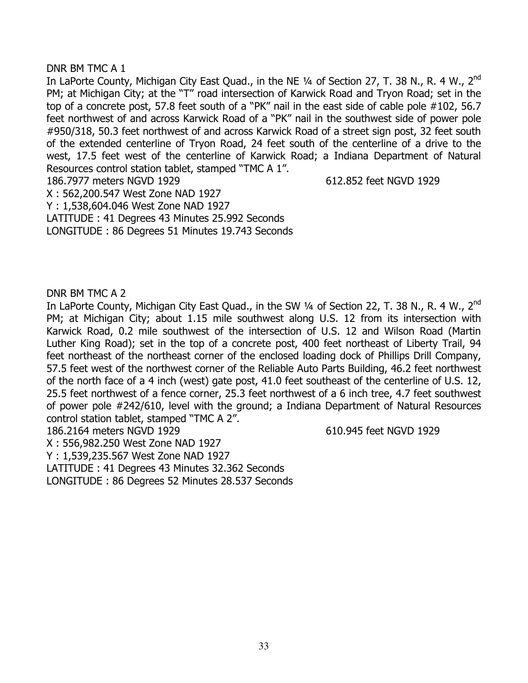# DNR BM TMC A 1

In LaPorte County, Michigan City East Quad., in the NE 1/4 of Section 27, T. 38 N., R. 4 W., 2<sup>nd</sup> PM; at Michigan City; at the "T" road intersection of Karwick Road and Tryon Road; set in the top of a concrete post, 57.8 feet south of a "PK" nail in the east side of cable pole #102, 56.7 feet northwest of and across Karwick Road of a "PK" nail in the southwest side of power pole #950/318, 50.3 feet northwest of and across Karwick Road of a street sign post, 32 feet south of the extended centerline of Tryon Road, 24 feet south of the centerline of a drive to the west, 17.5 feet west of the centerline of Karwick Road; a Indiana Department of Natural Resources control station tablet, stamped "TMC A 1".

186.7977 meters NGVD 1929 612.852 feet NGVD 1929

X : 562,200.547 West Zone NAD 1927

Y : 1,538,604.046 West Zone NAD 1927

LATITUDE : 41 Degrees 43 Minutes 25.992 Seconds

LONGITUDE : 86 Degrees 51 Minutes 19.743 Seconds

DNR BM TMC A 2

In LaPorte County, Michigan City East Quad., in the SW 1/4 of Section 22, T. 38 N., R. 4 W., 2<sup>nd</sup> PM; at Michigan City; about 1.15 mile southwest along U.S. 12 from its intersection with Karwick Road, 0.2 mile southwest of the intersection of U.S. 12 and Wilson Road (Martin Luther King Road); set in the top of a concrete post, 400 feet northeast of Liberty Trail, 94 feet northeast of the northeast corner of the enclosed loading dock of Phillips Drill Company, 57.5 feet west of the northwest corner of the Reliable Auto Parts Building, 46.2 feet northwest of the north face of a 4 inch (west) gate post, 41.0 feet southeast of the centerline of U.S. 12, 25.5 feet northwest of a fence corner, 25.3 feet northwest of a 6 inch tree, 4.7 feet southwest of power pole #242/610, level with the ground; a Indiana Department of Natural Resources control station tablet, stamped "TMC A 2".

186.2164 meters NGVD 1929 610.945 feet NGVD 1929

X : 556,982.250 West Zone NAD 1927

Y : 1,539,235.567 West Zone NAD 1927

LATITUDE : 41 Degrees 43 Minutes 32.362 Seconds

LONGITUDE : 86 Degrees 52 Minutes 28.537 Seconds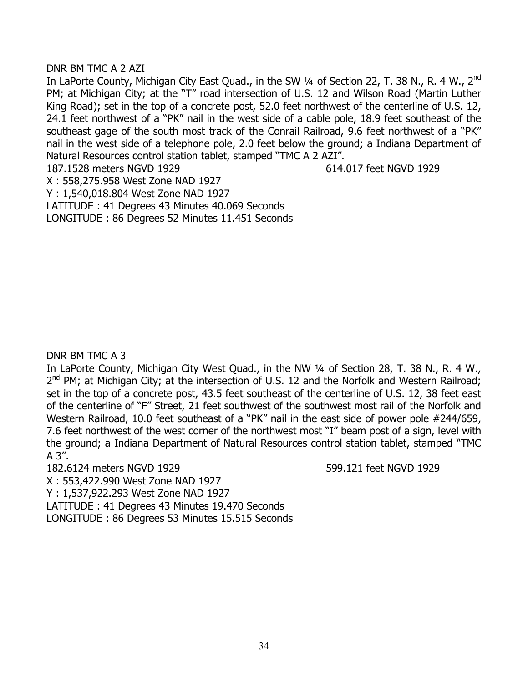# DNR BM TMC A 2 AZI

In LaPorte County, Michigan City East Quad., in the SW 1/4 of Section 22, T. 38 N., R. 4 W., 2<sup>nd</sup> PM; at Michigan City; at the "T" road intersection of U.S. 12 and Wilson Road (Martin Luther King Road); set in the top of a concrete post, 52.0 feet northwest of the centerline of U.S. 12, 24.1 feet northwest of a "PK" nail in the west side of a cable pole, 18.9 feet southeast of the southeast gage of the south most track of the Conrail Railroad, 9.6 feet northwest of a "PK" nail in the west side of a telephone pole, 2.0 feet below the ground; a Indiana Department of Natural Resources control station tablet, stamped "TMC A 2 AZI". 187.1528 meters NGVD 1929 614.017 feet NGVD 1929

X : 558,275.958 West Zone NAD 1927

Y : 1,540,018.804 West Zone NAD 1927

LATITUDE : 41 Degrees 43 Minutes 40.069 Seconds LONGITUDE : 86 Degrees 52 Minutes 11.451 Seconds

# DNR BM TMC A 3

In LaPorte County, Michigan City West Quad., in the NW 1/4 of Section 28, T. 38 N., R. 4 W.,  $2^{nd}$  PM; at Michigan City; at the intersection of U.S. 12 and the Norfolk and Western Railroad; set in the top of a concrete post, 43.5 feet southeast of the centerline of U.S. 12, 38 feet east of the centerline of "F" Street, 21 feet southwest of the southwest most rail of the Norfolk and Western Railroad, 10.0 feet southeast of a "PK" nail in the east side of power pole #244/659, 7.6 feet northwest of the west corner of the northwest most "I" beam post of a sign, level with the ground; a Indiana Department of Natural Resources control station tablet, stamped "TMC A 3".

182.6124 meters NGVD 1929 599.121 feet NGVD 1929

X : 553,422.990 West Zone NAD 1927 Y : 1,537,922.293 West Zone NAD 1927 LATITUDE : 41 Degrees 43 Minutes 19.470 Seconds LONGITUDE : 86 Degrees 53 Minutes 15.515 Seconds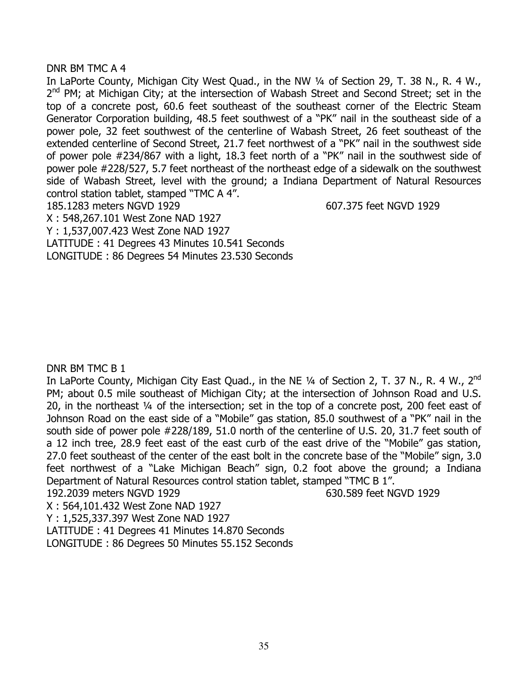## DNR BM TMC A 4

In LaPorte County, Michigan City West Quad., in the NW 1/4 of Section 29, T. 38 N., R. 4 W.,  $2^{nd}$  PM; at Michigan City; at the intersection of Wabash Street and Second Street; set in the top of a concrete post, 60.6 feet southeast of the southeast corner of the Electric Steam Generator Corporation building, 48.5 feet southwest of a "PK" nail in the southeast side of a power pole, 32 feet southwest of the centerline of Wabash Street, 26 feet southeast of the extended centerline of Second Street, 21.7 feet northwest of a "PK" nail in the southwest side of power pole #234/867 with a light, 18.3 feet north of a "PK" nail in the southwest side of power pole #228/527, 5.7 feet northeast of the northeast edge of a sidewalk on the southwest side of Wabash Street, level with the ground; a Indiana Department of Natural Resources control station tablet, stamped "TMC A 4".

185.1283 meters NGVD 1929 607.375 feet NGVD 1929

X : 548,267.101 West Zone NAD 1927

Y : 1,537,007.423 West Zone NAD 1927

LATITUDE : 41 Degrees 43 Minutes 10.541 Seconds

LONGITUDE : 86 Degrees 54 Minutes 23.530 Seconds

# DNR BM TMC B 1

In LaPorte County, Michigan City East Quad., in the NE 1/4 of Section 2, T. 37 N., R. 4 W., 2<sup>nd</sup> PM; about 0.5 mile southeast of Michigan City; at the intersection of Johnson Road and U.S. 20, in the northeast ¼ of the intersection; set in the top of a concrete post, 200 feet east of Johnson Road on the east side of a "Mobile" gas station, 85.0 southwest of a "PK" nail in the south side of power pole #228/189, 51.0 north of the centerline of U.S. 20, 31.7 feet south of a 12 inch tree, 28.9 feet east of the east curb of the east drive of the "Mobile" gas station, 27.0 feet southeast of the center of the east bolt in the concrete base of the "Mobile" sign, 3.0 feet northwest of a "Lake Michigan Beach" sign, 0.2 foot above the ground; a Indiana Department of Natural Resources control station tablet, stamped "TMC B 1".

192.2039 meters NGVD 1929 630.589 feet NGVD 1929

X : 564,101.432 West Zone NAD 1927

Y : 1,525,337.397 West Zone NAD 1927

LATITUDE : 41 Degrees 41 Minutes 14.870 Seconds

LONGITUDE : 86 Degrees 50 Minutes 55.152 Seconds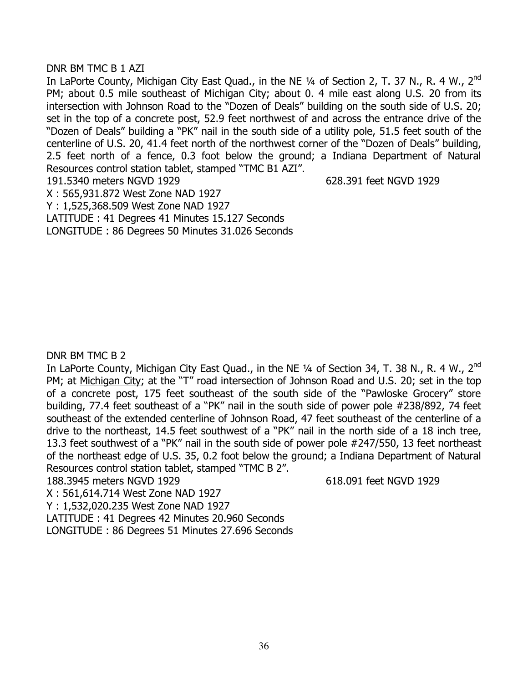# DNR BM TMC B 1 AZI

In LaPorte County, Michigan City East Quad., in the NE 1/4 of Section 2, T. 37 N., R. 4 W., 2<sup>nd</sup> PM; about 0.5 mile southeast of Michigan City; about 0. 4 mile east along U.S. 20 from its intersection with Johnson Road to the "Dozen of Deals" building on the south side of U.S. 20; set in the top of a concrete post, 52.9 feet northwest of and across the entrance drive of the "Dozen of Deals" building a "PK" nail in the south side of a utility pole, 51.5 feet south of the centerline of U.S. 20, 41.4 feet north of the northwest corner of the "Dozen of Deals" building, 2.5 feet north of a fence, 0.3 foot below the ground; a Indiana Department of Natural Resources control station tablet, stamped "TMC B1 AZI". 191.5340 meters NGVD 1929 628.391 feet NGVD 1929

X : 565,931.872 West Zone NAD 1927

Y : 1,525,368.509 West Zone NAD 1927

LATITUDE : 41 Degrees 41 Minutes 15.127 Seconds

LONGITUDE : 86 Degrees 50 Minutes 31.026 Seconds

# DNR BM TMC B 2

In LaPorte County, Michigan City East Quad., in the NE 1/4 of Section 34, T. 38 N., R. 4 W., 2<sup>nd</sup> PM; at Michigan City; at the "T" road intersection of Johnson Road and U.S. 20; set in the top of a concrete post, 175 feet southeast of the south side of the "Pawloske Grocery" store building, 77.4 feet southeast of a "PK" nail in the south side of power pole #238/892, 74 feet southeast of the extended centerline of Johnson Road, 47 feet southeast of the centerline of a drive to the northeast, 14.5 feet southwest of a "PK" nail in the north side of a 18 inch tree, 13.3 feet southwest of a "PK" nail in the south side of power pole #247/550, 13 feet northeast of the northeast edge of U.S. 35, 0.2 foot below the ground; a Indiana Department of Natural Resources control station tablet, stamped "TMC B 2".

188.3945 meters NGVD 1929 618.091 feet NGVD 1929

X : 561,614.714 West Zone NAD 1927

Y : 1,532,020.235 West Zone NAD 1927

LATITUDE : 41 Degrees 42 Minutes 20.960 Seconds

LONGITUDE : 86 Degrees 51 Minutes 27.696 Seconds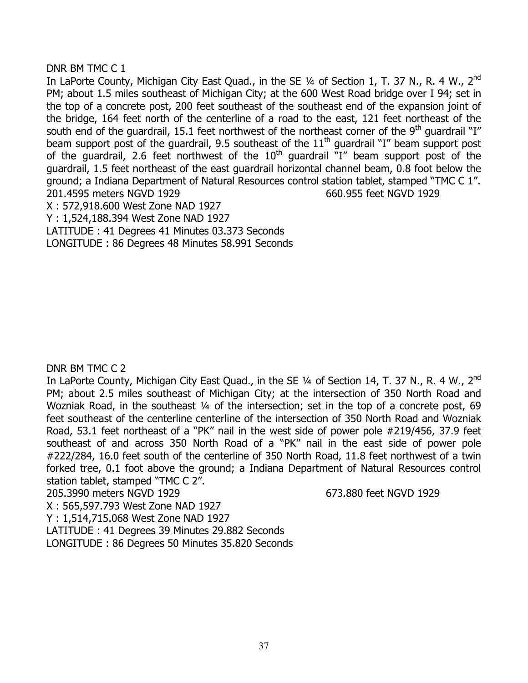# DNR BM TMC C 1

In LaPorte County, Michigan City East Quad., in the SE 1/4 of Section 1, T. 37 N., R. 4 W., 2<sup>nd</sup> PM; about 1.5 miles southeast of Michigan City; at the 600 West Road bridge over I 94; set in the top of a concrete post, 200 feet southeast of the southeast end of the expansion joint of the bridge, 164 feet north of the centerline of a road to the east, 121 feet northeast of the south end of the guardrail, 15.1 feet northwest of the northeast corner of the 9<sup>th</sup> guardrail "I" beam support post of the guardrail, 9.5 southeast of the  $11<sup>th</sup>$  guardrail "I" beam support post of the guardrail, 2.6 feet northwest of the  $10<sup>th</sup>$  guardrail  $"I"$  beam support post of the guardrail, 1.5 feet northeast of the east guardrail horizontal channel beam, 0.8 foot below the ground; a Indiana Department of Natural Resources control station tablet, stamped "TMC C 1". 201.4595 meters NGVD 1929 660.955 feet NGVD 1929

X : 572,918.600 West Zone NAD 1927

Y : 1,524,188.394 West Zone NAD 1927

LATITUDE : 41 Degrees 41 Minutes 03.373 Seconds

LONGITUDE : 86 Degrees 48 Minutes 58.991 Seconds

DNR BM TMC C 2

In LaPorte County, Michigan City East Quad., in the SE 1/4 of Section 14, T. 37 N., R. 4 W., 2<sup>nd</sup> PM; about 2.5 miles southeast of Michigan City; at the intersection of 350 North Road and Wozniak Road, in the southeast 1/4 of the intersection; set in the top of a concrete post, 69 feet southeast of the centerline centerline of the intersection of 350 North Road and Wozniak Road, 53.1 feet northeast of a "PK" nail in the west side of power pole #219/456, 37.9 feet southeast of and across 350 North Road of a "PK" nail in the east side of power pole #222/284, 16.0 feet south of the centerline of 350 North Road, 11.8 feet northwest of a twin forked tree, 0.1 foot above the ground; a Indiana Department of Natural Resources control station tablet, stamped "TMC C 2".

205.3990 meters NGVD 1929 673.880 feet NGVD 1929

X : 565,597.793 West Zone NAD 1927

Y : 1,514,715.068 West Zone NAD 1927

LATITUDE : 41 Degrees 39 Minutes 29.882 Seconds

LONGITUDE : 86 Degrees 50 Minutes 35.820 Seconds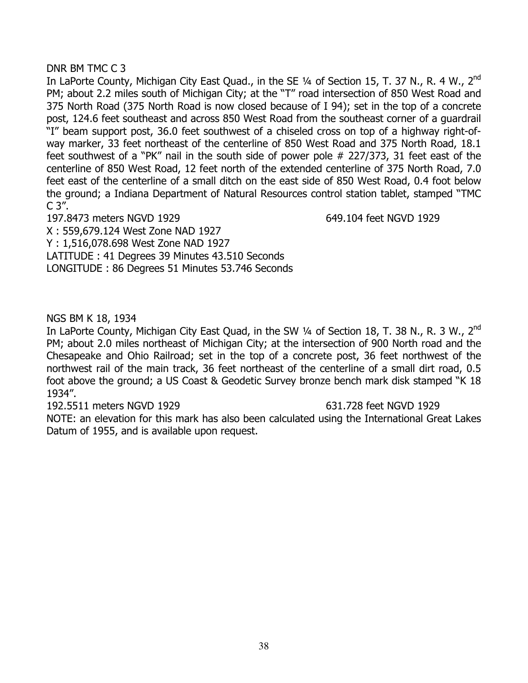# DNR BM TMC C 3

In LaPorte County, Michigan City East Quad., in the SE 1/4 of Section 15, T. 37 N., R. 4 W., 2<sup>nd</sup> PM; about 2.2 miles south of Michigan City; at the "T" road intersection of 850 West Road and 375 North Road (375 North Road is now closed because of I 94); set in the top of a concrete post, 124.6 feet southeast and across 850 West Road from the southeast corner of a guardrail "I" beam support post, 36.0 feet southwest of a chiseled cross on top of a highway right-ofway marker, 33 feet northeast of the centerline of 850 West Road and 375 North Road, 18.1 feet southwest of a "PK" nail in the south side of power pole # 227/373, 31 feet east of the centerline of 850 West Road, 12 feet north of the extended centerline of 375 North Road, 7.0 feet east of the centerline of a small ditch on the east side of 850 West Road, 0.4 foot below the ground; a Indiana Department of Natural Resources control station tablet, stamped "TMC  $C$  3".

197.8473 meters NGVD 1929 649.104 feet NGVD 1929 X : 559,679.124 West Zone NAD 1927

Y : 1,516,078.698 West Zone NAD 1927 LATITUDE : 41 Degrees 39 Minutes 43.510 Seconds

LONGITUDE : 86 Degrees 51 Minutes 53.746 Seconds

# NGS BM K 18, 1934

In LaPorte County, Michigan City East Quad, in the SW 1/4 of Section 18, T. 38 N., R. 3 W., 2<sup>nd</sup> PM; about 2.0 miles northeast of Michigan City; at the intersection of 900 North road and the Chesapeake and Ohio Railroad; set in the top of a concrete post, 36 feet northwest of the northwest rail of the main track, 36 feet northeast of the centerline of a small dirt road, 0.5 foot above the ground; a US Coast & Geodetic Survey bronze bench mark disk stamped "K 18 1934".

192.5511 meters NGVD 1929 631.728 feet NGVD 1929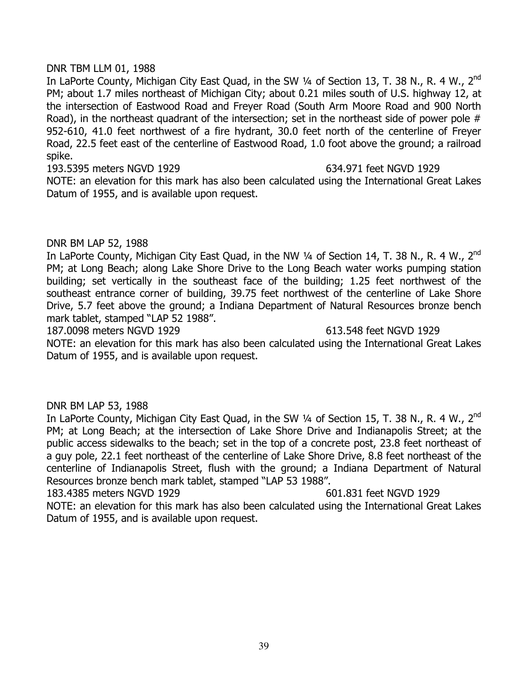# DNR TBM LLM 01, 1988

In LaPorte County, Michigan City East Quad, in the SW 1/4 of Section 13, T. 38 N., R. 4 W., 2<sup>nd</sup> PM; about 1.7 miles northeast of Michigan City; about 0.21 miles south of U.S. highway 12, at the intersection of Eastwood Road and Freyer Road (South Arm Moore Road and 900 North Road), in the northeast quadrant of the intersection; set in the northeast side of power pole # 952-610, 41.0 feet northwest of a fire hydrant, 30.0 feet north of the centerline of Freyer Road, 22.5 feet east of the centerline of Eastwood Road, 1.0 foot above the ground; a railroad spike.

193.5395 meters NGVD 1929 634.971 feet NGVD 1929

NOTE: an elevation for this mark has also been calculated using the International Great Lakes Datum of 1955, and is available upon request.

# DNR BM LAP 52, 1988

In LaPorte County, Michigan City East Quad, in the NW 1/4 of Section 14, T. 38 N., R. 4 W., 2<sup>nd</sup> PM; at Long Beach; along Lake Shore Drive to the Long Beach water works pumping station building; set vertically in the southeast face of the building; 1.25 feet northwest of the southeast entrance corner of building, 39.75 feet northwest of the centerline of Lake Shore Drive, 5.7 feet above the ground; a Indiana Department of Natural Resources bronze bench mark tablet, stamped "LAP 52 1988".

187.0098 meters NGVD 1929 613.548 feet NGVD 1929

NOTE: an elevation for this mark has also been calculated using the International Great Lakes Datum of 1955, and is available upon request.

# DNR BM LAP 53, 1988

In LaPorte County, Michigan City East Quad, in the SW 1/4 of Section 15, T. 38 N., R. 4 W., 2<sup>nd</sup> PM; at Long Beach; at the intersection of Lake Shore Drive and Indianapolis Street; at the public access sidewalks to the beach; set in the top of a concrete post, 23.8 feet northeast of a guy pole, 22.1 feet northeast of the centerline of Lake Shore Drive, 8.8 feet northeast of the centerline of Indianapolis Street, flush with the ground; a Indiana Department of Natural Resources bronze bench mark tablet, stamped "LAP 53 1988".

183.4385 meters NGVD 1929 601.831 feet NGVD 1929 NOTE: an elevation for this mark has also been calculated using the International Great Lakes Datum of 1955, and is available upon request.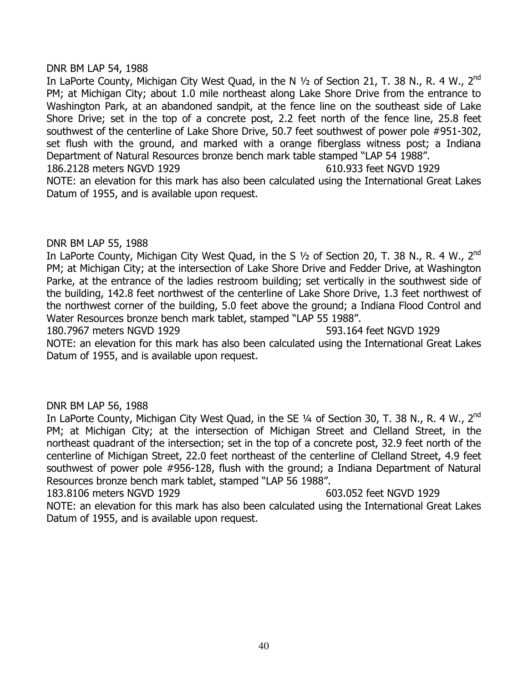## DNR BM LAP 54, 1988

In LaPorte County, Michigan City West Quad, in the N 1/2 of Section 21, T. 38 N., R. 4 W., 2<sup>nd</sup> PM; at Michigan City; about 1.0 mile northeast along Lake Shore Drive from the entrance to Washington Park, at an abandoned sandpit, at the fence line on the southeast side of Lake Shore Drive; set in the top of a concrete post, 2.2 feet north of the fence line, 25.8 feet southwest of the centerline of Lake Shore Drive, 50.7 feet southwest of power pole #951-302, set flush with the ground, and marked with a orange fiberglass witness post; a Indiana Department of Natural Resources bronze bench mark table stamped "LAP 54 1988". 186.2128 meters NGVD 1929 610.933 feet NGVD 1929 NOTE: an elevation for this mark has also been calculated using the International Great Lakes Datum of 1955, and is available upon request.

## DNR BM LAP 55, 1988

In LaPorte County, Michigan City West Quad, in the S 1/2 of Section 20, T. 38 N., R. 4 W., 2<sup>nd</sup> PM; at Michigan City; at the intersection of Lake Shore Drive and Fedder Drive, at Washington Parke, at the entrance of the ladies restroom building; set vertically in the southwest side of the building, 142.8 feet northwest of the centerline of Lake Shore Drive, 1.3 feet northwest of the northwest corner of the building, 5.0 feet above the ground; a Indiana Flood Control and Water Resources bronze bench mark tablet, stamped "LAP 55 1988".

180.7967 meters NGVD 1929 593.164 feet NGVD 1929

NOTE: an elevation for this mark has also been calculated using the International Great Lakes Datum of 1955, and is available upon request.

# DNR BM LAP 56, 1988

In LaPorte County, Michigan City West Quad, in the SE 1/4 of Section 30, T. 38 N., R. 4 W., 2<sup>nd</sup> PM; at Michigan City; at the intersection of Michigan Street and Clelland Street, in the northeast quadrant of the intersection; set in the top of a concrete post, 32.9 feet north of the centerline of Michigan Street, 22.0 feet northeast of the centerline of Clelland Street, 4.9 feet southwest of power pole #956-128, flush with the ground; a Indiana Department of Natural Resources bronze bench mark tablet, stamped "LAP 56 1988".

183.8106 meters NGVD 1929 603.052 feet NGVD 1929 NOTE: an elevation for this mark has also been calculated using the International Great Lakes Datum of 1955, and is available upon request.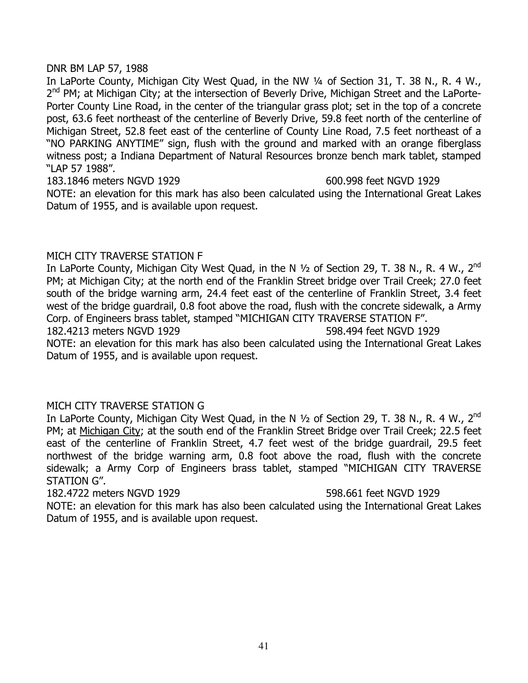## DNR BM LAP 57, 1988

In LaPorte County, Michigan City West Quad, in the NW 1/4 of Section 31, T. 38 N., R. 4 W., 2<sup>nd</sup> PM; at Michigan City; at the intersection of Beverly Drive, Michigan Street and the LaPorte-Porter County Line Road, in the center of the triangular grass plot; set in the top of a concrete post, 63.6 feet northeast of the centerline of Beverly Drive, 59.8 feet north of the centerline of Michigan Street, 52.8 feet east of the centerline of County Line Road, 7.5 feet northeast of a "NO PARKING ANYTIME" sign, flush with the ground and marked with an orange fiberglass witness post; a Indiana Department of Natural Resources bronze bench mark tablet, stamped "LAP 57 1988".

183.1846 meters NGVD 1929 600.998 feet NGVD 1929 NOTE: an elevation for this mark has also been calculated using the International Great Lakes Datum of 1955, and is available upon request.

# MICH CITY TRAVERSE STATION F

In LaPorte County, Michigan City West Quad, in the N 1/2 of Section 29, T. 38 N., R. 4 W., 2<sup>nd</sup> PM; at Michigan City; at the north end of the Franklin Street bridge over Trail Creek; 27.0 feet south of the bridge warning arm, 24.4 feet east of the centerline of Franklin Street, 3.4 feet west of the bridge guardrail, 0.8 foot above the road, flush with the concrete sidewalk, a Army Corp. of Engineers brass tablet, stamped "MICHIGAN CITY TRAVERSE STATION F".

182.4213 meters NGVD 1929 598.494 feet NGVD 1929

NOTE: an elevation for this mark has also been calculated using the International Great Lakes Datum of 1955, and is available upon request.

# MICH CITY TRAVERSE STATION G

In LaPorte County, Michigan City West Quad, in the N 1/2 of Section 29, T. 38 N., R. 4 W., 2<sup>nd</sup> PM; at Michigan City; at the south end of the Franklin Street Bridge over Trail Creek; 22.5 feet east of the centerline of Franklin Street, 4.7 feet west of the bridge guardrail, 29.5 feet northwest of the bridge warning arm, 0.8 foot above the road, flush with the concrete sidewalk; a Army Corp of Engineers brass tablet, stamped "MICHIGAN CITY TRAVERSE STATION G".

# 182.4722 meters NGVD 1929 598.661 feet NGVD 1929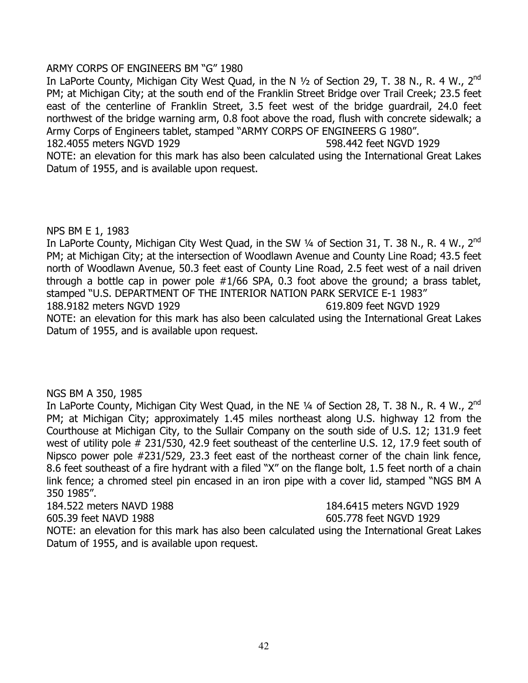# ARMY CORPS OF ENGINEERS BM "G" 1980

In LaPorte County, Michigan City West Quad, in the N 1/2 of Section 29, T. 38 N., R. 4 W., 2<sup>nd</sup> PM; at Michigan City; at the south end of the Franklin Street Bridge over Trail Creek; 23.5 feet east of the centerline of Franklin Street, 3.5 feet west of the bridge guardrail, 24.0 feet northwest of the bridge warning arm, 0.8 foot above the road, flush with concrete sidewalk; a Army Corps of Engineers tablet, stamped "ARMY CORPS OF ENGINEERS G 1980". 182.4055 meters NGVD 1929 598.442 feet NGVD 1929

NOTE: an elevation for this mark has also been calculated using the International Great Lakes Datum of 1955, and is available upon request.

# NPS BM E 1, 1983

In LaPorte County, Michigan City West Quad, in the SW 1/4 of Section 31, T. 38 N., R. 4 W., 2<sup>nd</sup> PM; at Michigan City; at the intersection of Woodlawn Avenue and County Line Road; 43.5 feet north of Woodlawn Avenue, 50.3 feet east of County Line Road, 2.5 feet west of a nail driven through a bottle cap in power pole #1/66 SPA, 0.3 foot above the ground; a brass tablet, stamped "U.S. DEPARTMENT OF THE INTERIOR NATION PARK SERVICE E-1 1983" 188.9182 meters NGVD 1929 619.809 feet NGVD 1929 NOTE: an elevation for this mark has also been calculated using the International Great Lakes Datum of 1955, and is available upon request.

# NGS BM A 350, 1985

In LaPorte County, Michigan City West Quad, in the NE 1/4 of Section 28, T. 38 N., R. 4 W., 2<sup>nd</sup> PM; at Michigan City; approximately 1.45 miles northeast along U.S. highway 12 from the Courthouse at Michigan City, to the Sullair Company on the south side of U.S. 12; 131.9 feet west of utility pole # 231/530, 42.9 feet southeast of the centerline U.S. 12, 17.9 feet south of Nipsco power pole #231/529, 23.3 feet east of the northeast corner of the chain link fence, 8.6 feet southeast of a fire hydrant with a filed "X" on the flange bolt, 1.5 feet north of a chain link fence; a chromed steel pin encased in an iron pipe with a cover lid, stamped "NGS BM A 350 1985".

184.522 meters NAVD 1988 184.6415 meters NGVD 1929 605.39 feet NAVD 1988 605.778 feet NGVD 1929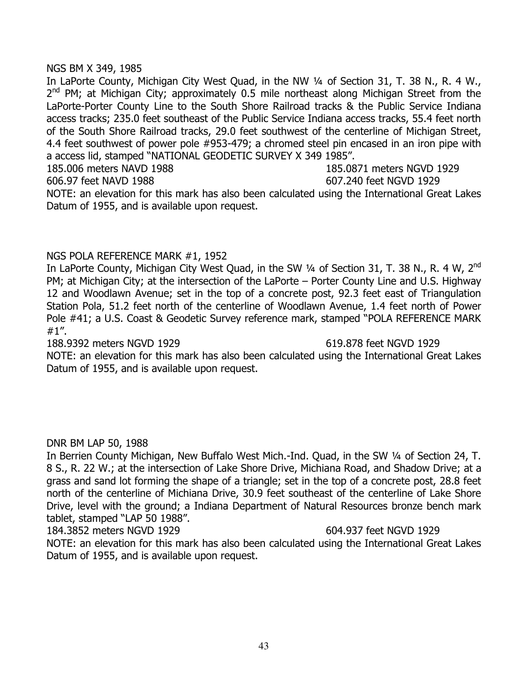## NGS BM X 349, 1985

In LaPorte County, Michigan City West Quad, in the NW 1/4 of Section 31, T. 38 N., R. 4 W.,  $2^{nd}$  PM; at Michigan City; approximately 0.5 mile northeast along Michigan Street from the LaPorte-Porter County Line to the South Shore Railroad tracks & the Public Service Indiana access tracks; 235.0 feet southeast of the Public Service Indiana access tracks, 55.4 feet north of the South Shore Railroad tracks, 29.0 feet southwest of the centerline of Michigan Street, 4.4 feet southwest of power pole #953-479; a chromed steel pin encased in an iron pipe with a access lid, stamped "NATIONAL GEODETIC SURVEY X 349 1985". 185.006 meters NAVD 1988 185.0871 meters NGVD 1929 606.97 feet NAVD 1988 607.240 feet NGVD 1929

NOTE: an elevation for this mark has also been calculated using the International Great Lakes Datum of 1955, and is available upon request.

# NGS POLA REFERENCE MARK #1, 1952

In LaPorte County, Michigan City West Quad, in the SW 1/4 of Section 31, T. 38 N., R. 4 W, 2<sup>nd</sup> PM; at Michigan City; at the intersection of the LaPorte – Porter County Line and U.S. Highway 12 and Woodlawn Avenue; set in the top of a concrete post, 92.3 feet east of Triangulation Station Pola, 51.2 feet north of the centerline of Woodlawn Avenue, 1.4 feet north of Power Pole #41; a U.S. Coast & Geodetic Survey reference mark, stamped "POLA REFERENCE MARK #1".

### 188.9392 meters NGVD 1929 619.878 feet NGVD 1929

NOTE: an elevation for this mark has also been calculated using the International Great Lakes Datum of 1955, and is available upon request.

# DNR BM LAP 50, 1988

In Berrien County Michigan, New Buffalo West Mich.-Ind. Quad, in the SW ¼ of Section 24, T. 8 S., R. 22 W.; at the intersection of Lake Shore Drive, Michiana Road, and Shadow Drive; at a grass and sand lot forming the shape of a triangle; set in the top of a concrete post, 28.8 feet north of the centerline of Michiana Drive, 30.9 feet southeast of the centerline of Lake Shore Drive, level with the ground; a Indiana Department of Natural Resources bronze bench mark tablet, stamped "LAP 50 1988".

184.3852 meters NGVD 1929 604.937 feet NGVD 1929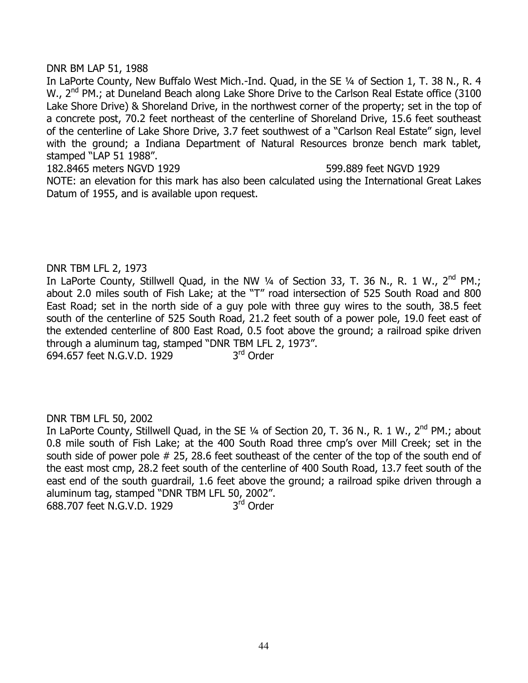## DNR BM LAP 51, 1988

In LaPorte County, New Buffalo West Mich.-Ind. Quad, in the SE ¼ of Section 1, T. 38 N., R. 4 W., 2<sup>nd</sup> PM.; at Duneland Beach along Lake Shore Drive to the Carlson Real Estate office (3100 Lake Shore Drive) & Shoreland Drive, in the northwest corner of the property; set in the top of a concrete post, 70.2 feet northeast of the centerline of Shoreland Drive, 15.6 feet southeast of the centerline of Lake Shore Drive, 3.7 feet southwest of a "Carlson Real Estate" sign, level with the ground; a Indiana Department of Natural Resources bronze bench mark tablet, stamped "LAP 51 1988".

182.8465 meters NGVD 1929 599.889 feet NGVD 1929

NOTE: an elevation for this mark has also been calculated using the International Great Lakes Datum of 1955, and is available upon request.

## DNR TBM LFL 2, 1973

In LaPorte County, Stillwell Quad, in the NW 1/4 of Section 33, T. 36 N., R. 1 W., 2<sup>nd</sup> PM.; about 2.0 miles south of Fish Lake; at the "T" road intersection of 525 South Road and 800 East Road; set in the north side of a guy pole with three guy wires to the south, 38.5 feet south of the centerline of 525 South Road, 21.2 feet south of a power pole, 19.0 feet east of the extended centerline of 800 East Road, 0.5 foot above the ground; a railroad spike driven through a aluminum tag, stamped "DNR TBM LFL 2, 1973". 694.657 feet N.G.V.D. 1929 3<sup>rd</sup> Order

# DNR TBM LFL 50, 2002

In LaPorte County, Stillwell Quad, in the SE 1/4 of Section 20, T. 36 N., R. 1 W., 2<sup>nd</sup> PM.; about 0.8 mile south of Fish Lake; at the 400 South Road three cmp's over Mill Creek; set in the south side of power pole # 25, 28.6 feet southeast of the center of the top of the south end of the east most cmp, 28.2 feet south of the centerline of 400 South Road, 13.7 feet south of the east end of the south guardrail, 1.6 feet above the ground; a railroad spike driven through a aluminum tag, stamped "DNR TBM LFL 50, 2002". 688.707 feet N.G.V.D. 1929 3rd Order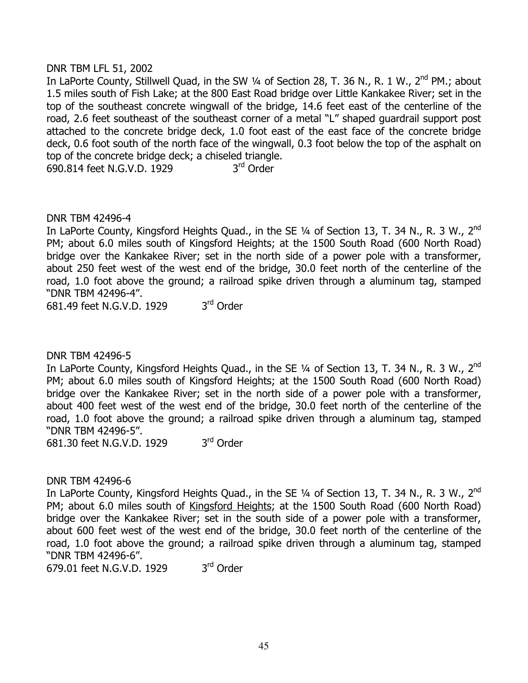# DNR TBM LFL 51, 2002

In LaPorte County, Stillwell Quad, in the SW 1/4 of Section 28, T. 36 N., R. 1 W., 2<sup>nd</sup> PM.; about 1.5 miles south of Fish Lake; at the 800 East Road bridge over Little Kankakee River; set in the top of the southeast concrete wingwall of the bridge, 14.6 feet east of the centerline of the road, 2.6 feet southeast of the southeast corner of a metal "L" shaped guardrail support post attached to the concrete bridge deck, 1.0 foot east of the east face of the concrete bridge deck, 0.6 foot south of the north face of the wingwall, 0.3 foot below the top of the asphalt on top of the concrete bridge deck; a chiseled triangle. 690.814 feet N.G.V.D. 1929 3rd Order

DNR TBM 42496-4

In LaPorte County, Kingsford Heights Quad., in the SE 1/4 of Section 13, T. 34 N., R. 3 W., 2<sup>nd</sup> PM; about 6.0 miles south of Kingsford Heights; at the 1500 South Road (600 North Road) bridge over the Kankakee River; set in the north side of a power pole with a transformer, about 250 feet west of the west end of the bridge, 30.0 feet north of the centerline of the road, 1.0 foot above the ground; a railroad spike driven through a aluminum tag, stamped "DNR TBM 42496-4".

681.49 feet N.G.V.D. 1929 3rd Order

DNR TBM 42496-5

In LaPorte County, Kingsford Heights Quad., in the SE 1/4 of Section 13, T. 34 N., R. 3 W., 2<sup>nd</sup> PM; about 6.0 miles south of Kingsford Heights; at the 1500 South Road (600 North Road) bridge over the Kankakee River; set in the north side of a power pole with a transformer, about 400 feet west of the west end of the bridge, 30.0 feet north of the centerline of the road, 1.0 foot above the ground; a railroad spike driven through a aluminum tag, stamped "DNR TBM 42496-5".

681.30 feet N.G.V.D. 1929 3<sup>rd</sup> Order

DNR TBM 42496-6

In LaPorte County, Kingsford Heights Quad., in the SE 1/4 of Section 13, T. 34 N., R. 3 W., 2<sup>nd</sup> PM; about 6.0 miles south of Kingsford Heights; at the 1500 South Road (600 North Road) bridge over the Kankakee River; set in the south side of a power pole with a transformer, about 600 feet west of the west end of the bridge, 30.0 feet north of the centerline of the road, 1.0 foot above the ground; a railroad spike driven through a aluminum tag, stamped "DNR TBM 42496-6".

679.01 feet N.G.V.D. 1929 3<sup>rd</sup> Order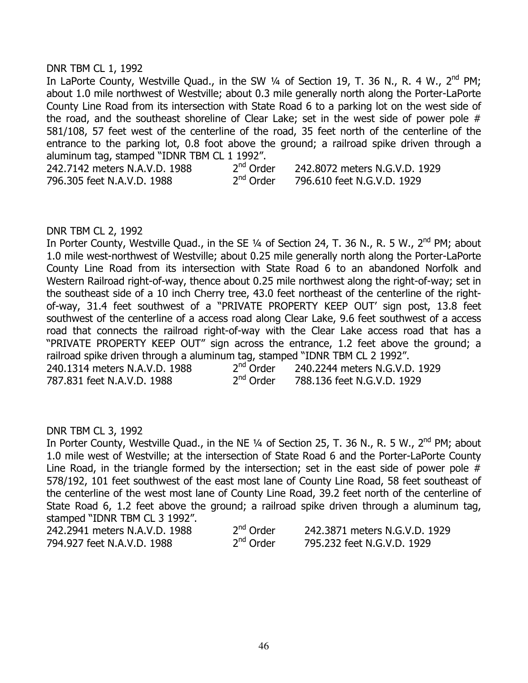## DNR TBM CL 1, 1992

In LaPorte County, Westville Quad., in the SW 1/4 of Section 19, T. 36 N., R. 4 W., 2<sup>nd</sup> PM; about 1.0 mile northwest of Westville; about 0.3 mile generally north along the Porter-LaPorte County Line Road from its intersection with State Road 6 to a parking lot on the west side of the road, and the southeast shoreline of Clear Lake; set in the west side of power pole # 581/108, 57 feet west of the centerline of the road, 35 feet north of the centerline of the entrance to the parking lot, 0.8 foot above the ground; a railroad spike driven through a aluminum tag, stamped "IDNR TBM CL 1 1992".<br>242.7142 meters N.A.V.D. 1988 2<sup>nd</sup> Order

242.7142 meters N.A.V.D. 1988 2<sup>nd</sup> Order 242.8072 meters N.G.V.D. 1929<br>796.305 feet N.A.V.D. 1988 2<sup>nd</sup> Order 796.610 feet N.G.V.D. 1929 796.305 feet N.A.V.D. 1988 2nd Order 796.610 feet N.G.V.D. 1929

## DNR TBM CL 2, 1992

In Porter County, Westville Quad., in the SE 1/4 of Section 24, T. 36 N., R. 5 W., 2<sup>nd</sup> PM; about 1.0 mile west-northwest of Westville; about 0.25 mile generally north along the Porter-LaPorte County Line Road from its intersection with State Road 6 to an abandoned Norfolk and Western Railroad right-of-way, thence about 0.25 mile northwest along the right-of-way; set in the southeast side of a 10 inch Cherry tree, 43.0 feet northeast of the centerline of the rightof-way, 31.4 feet southwest of a "PRIVATE PROPERTY KEEP OUT' sign post, 13.8 feet southwest of the centerline of a access road along Clear Lake, 9.6 feet southwest of a access road that connects the railroad right-of-way with the Clear Lake access road that has a "PRIVATE PROPERTY KEEP OUT" sign across the entrance, 1.2 feet above the ground; a railroad spike driven through a aluminum tag, stamped "IDNR TBM CL 2 1992". 240.1314 meters N.A.V.D. 1988  $2^{nd}$  Order 240.2244 meters N.G.V.D. 1929<br>787.831 feet N.A.V.D. 1988  $2^{nd}$  Order 788.136 feet N.G.V.D. 1929

787.831 feet N.A.V.D. 1988 2nd Order 788.136 feet N.G.V.D. 1929

# DNR TBM CL 3, 1992

In Porter County, Westville Quad., in the NE 1/4 of Section 25, T. 36 N., R. 5 W., 2<sup>nd</sup> PM; about 1.0 mile west of Westville; at the intersection of State Road 6 and the Porter-LaPorte County Line Road, in the triangle formed by the intersection; set in the east side of power pole # 578/192, 101 feet southwest of the east most lane of County Line Road, 58 feet southeast of the centerline of the west most lane of County Line Road, 39.2 feet north of the centerline of State Road 6, 1.2 feet above the ground; a railroad spike driven through a aluminum tag, stamped "IDNR TBM CL 3 1992".

| 242.2941 meters N.A.V.D. 1988 | 2 <sup>nd</sup> Order | 242.3871 meters N.G.V.D. 1929 |
|-------------------------------|-----------------------|-------------------------------|
| 794.927 feet N.A.V.D. 1988    | 2 <sup>nd</sup> Order | 795.232 feet N.G.V.D. 1929    |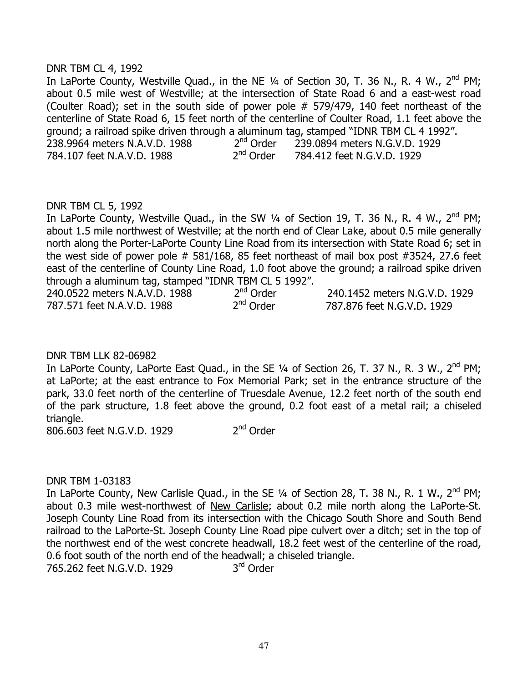# DNR TBM CL 4, 1992

In LaPorte County, Westville Quad., in the NE 1/4 of Section 30, T. 36 N., R. 4 W., 2<sup>nd</sup> PM; about 0.5 mile west of Westville; at the intersection of State Road 6 and a east-west road (Coulter Road); set in the south side of power pole # 579/479, 140 feet northeast of the centerline of State Road 6, 15 feet north of the centerline of Coulter Road, 1.1 feet above the ground; a railroad spike driven through a aluminum tag, stamped "IDNR TBM CL 4 1992".<br>238.9964 meters N.A.V.D. 1988 and all order a 239.0894 meters N.G.V.D. 1929 238.9964 meters N.A.V.D. 1988  $2^{nd}$  Order  $2^{39.0894}$  meters N.G.V.D. 1929<br>784.107 feet N.A.V.D. 1988  $2^{nd}$  Order  $2^{84.412}$  feet N.G.V.D. 1929 784.107 feet N.A.V.D. 1988 2<sup>nd</sup> Order 284.412 feet N.G.V.D. 1929

## DNR TBM CL 5, 1992

In LaPorte County, Westville Quad., in the SW  $\frac{1}{4}$  of Section 19, T. 36 N., R. 4 W., 2<sup>nd</sup> PM; about 1.5 mile northwest of Westville; at the north end of Clear Lake, about 0.5 mile generally north along the Porter-LaPorte County Line Road from its intersection with State Road 6; set in the west side of power pole  $#$  581/168, 85 feet northeast of mail box post  $#3524$ , 27.6 feet east of the centerline of County Line Road, 1.0 foot above the ground; a railroad spike driven through a aluminum tag, stamped "IDNR TBM CL 5 1992".

| 240.0522 meters N.A.V.D. 1988 | $2^{nd}$ Order | 240.1452 meters N.G.V.D. 1929 |
|-------------------------------|----------------|-------------------------------|
| 787.571 feet N.A.V.D. 1988    | $2^{nd}$ Order | 787.876 feet N.G.V.D. 1929    |

# DNR TBM LLK 82-06982

In LaPorte County, LaPorte East Quad., in the SE 1/4 of Section 26, T. 37 N., R. 3 W., 2<sup>nd</sup> PM; at LaPorte; at the east entrance to Fox Memorial Park; set in the entrance structure of the park, 33.0 feet north of the centerline of Truesdale Avenue, 12.2 feet north of the south end of the park structure, 1.8 feet above the ground, 0.2 foot east of a metal rail; a chiseled triangle.

806.603 feet N.G.V.D. 1929 2<sup>nd</sup> Order

# DNR TBM 1-03183

In LaPorte County, New Carlisle Quad., in the SE  $\frac{1}{4}$  of Section 28, T. 38 N., R. 1 W., 2<sup>nd</sup> PM; about 0.3 mile west-northwest of New Carlisle; about 0.2 mile north along the LaPorte-St. Joseph County Line Road from its intersection with the Chicago South Shore and South Bend railroad to the LaPorte-St. Joseph County Line Road pipe culvert over a ditch; set in the top of the northwest end of the west concrete headwall, 18.2 feet west of the centerline of the road, 0.6 foot south of the north end of the headwall; a chiseled triangle.<br>765.262 feet N.G.V.D. 1929  $3<sup>rd</sup>$  Order 765.262 feet N.G.V.D. 1929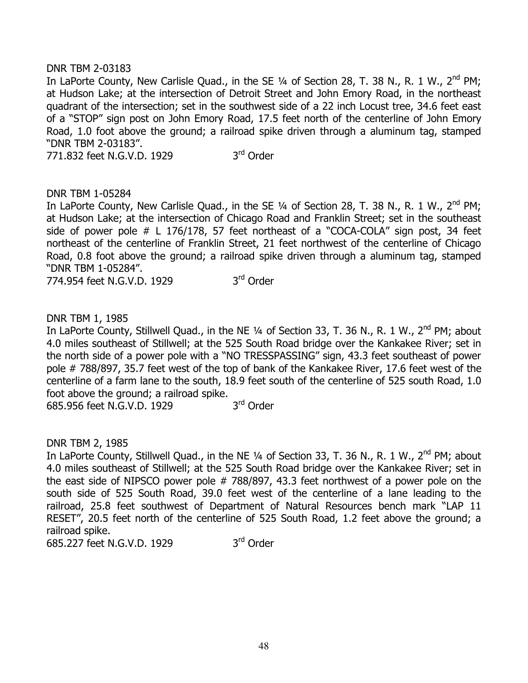# DNR TBM 2-03183

In LaPorte County, New Carlisle Quad., in the SE 1/4 of Section 28, T. 38 N., R. 1 W., 2<sup>nd</sup> PM; at Hudson Lake; at the intersection of Detroit Street and John Emory Road, in the northeast quadrant of the intersection; set in the southwest side of a 22 inch Locust tree, 34.6 feet east of a "STOP" sign post on John Emory Road, 17.5 feet north of the centerline of John Emory Road, 1.0 foot above the ground; a railroad spike driven through a aluminum tag, stamped "DNR TBM 2-03183".

771.832 feet N.G.V.D. 1929 3<sup>rd</sup> Order

# DNR TBM 1-05284

In LaPorte County, New Carlisle Quad., in the SE  $\frac{1}{4}$  of Section 28, T. 38 N., R. 1 W., 2<sup>nd</sup> PM; at Hudson Lake; at the intersection of Chicago Road and Franklin Street; set in the southeast side of power pole # L 176/178, 57 feet northeast of a "COCA-COLA" sign post, 34 feet northeast of the centerline of Franklin Street, 21 feet northwest of the centerline of Chicago Road, 0.8 foot above the ground; a railroad spike driven through a aluminum tag, stamped "DNR TBM 1-05284".

774.954 feet N.G.V.D. 1929 3rd Order

DNR TBM 1, 1985

In LaPorte County, Stillwell Quad., in the NE 1/4 of Section 33, T. 36 N., R. 1 W., 2<sup>nd</sup> PM; about 4.0 miles southeast of Stillwell; at the 525 South Road bridge over the Kankakee River; set in the north side of a power pole with a "NO TRESSPASSING" sign, 43.3 feet southeast of power pole # 788/897, 35.7 feet west of the top of bank of the Kankakee River, 17.6 feet west of the centerline of a farm lane to the south, 18.9 feet south of the centerline of 525 south Road, 1.0 foot above the ground; a railroad spike.<br>685 956 feet N.G.V.D. 1929 3<sup>rd</sup> Order

685.956 feet N.G.V.D. 1929

DNR TBM 2, 1985

In LaPorte County, Stillwell Quad., in the NE 1/4 of Section 33, T. 36 N., R. 1 W., 2<sup>nd</sup> PM; about 4.0 miles southeast of Stillwell; at the 525 South Road bridge over the Kankakee River; set in the east side of NIPSCO power pole # 788/897, 43.3 feet northwest of a power pole on the south side of 525 South Road, 39.0 feet west of the centerline of a lane leading to the railroad, 25.8 feet southwest of Department of Natural Resources bench mark "LAP 11 RESET", 20.5 feet north of the centerline of 525 South Road, 1.2 feet above the ground; a railroad spike.

685.227 feet N.G.V.D. 1929 3rd Order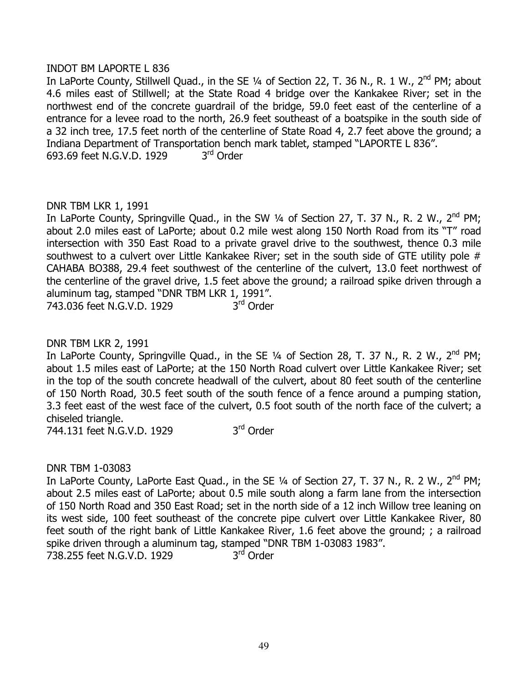# INDOT BM LAPORTE L 836

In LaPorte County, Stillwell Quad., in the SE 1/4 of Section 22, T. 36 N., R. 1 W., 2<sup>nd</sup> PM; about 4.6 miles east of Stillwell; at the State Road 4 bridge over the Kankakee River; set in the northwest end of the concrete guardrail of the bridge, 59.0 feet east of the centerline of a entrance for a levee road to the north, 26.9 feet southeast of a boatspike in the south side of a 32 inch tree, 17.5 feet north of the centerline of State Road 4, 2.7 feet above the ground; a Indiana Department of Transportation bench mark tablet, stamped "LAPORTE L 836". 693.69 feet N.G.V.D. 1929 3rd Order

## DNR TBM LKR 1, 1991

In LaPorte County, Springville Quad., in the SW 1/4 of Section 27, T. 37 N., R. 2 W., 2<sup>nd</sup> PM; about 2.0 miles east of LaPorte; about 0.2 mile west along 150 North Road from its "T" road intersection with 350 East Road to a private gravel drive to the southwest, thence 0.3 mile southwest to a culvert over Little Kankakee River; set in the south side of GTE utility pole # CAHABA BO388, 29.4 feet southwest of the centerline of the culvert, 13.0 feet northwest of the centerline of the gravel drive, 1.5 feet above the ground; a railroad spike driven through a aluminum tag, stamped "DNR TBM LKR 1, 1991". 743.036 feet N.G.V.D. 1929 3rd Order

DNR TBM LKR 2, 1991

In LaPorte County, Springville Quad., in the SE 1/4 of Section 28, T. 37 N., R. 2 W., 2<sup>nd</sup> PM; about 1.5 miles east of LaPorte; at the 150 North Road culvert over Little Kankakee River; set in the top of the south concrete headwall of the culvert, about 80 feet south of the centerline of 150 North Road, 30.5 feet south of the south fence of a fence around a pumping station, 3.3 feet east of the west face of the culvert, 0.5 foot south of the north face of the culvert; a chiseled triangle.

744.131 feet N.G.V.D. 1929 3<sup>rd</sup> Order

DNR TBM 1-03083

In LaPorte County, LaPorte East Quad., in the SE 1/4 of Section 27, T. 37 N., R. 2 W., 2<sup>nd</sup> PM; about 2.5 miles east of LaPorte; about 0.5 mile south along a farm lane from the intersection of 150 North Road and 350 East Road; set in the north side of a 12 inch Willow tree leaning on its west side, 100 feet southeast of the concrete pipe culvert over Little Kankakee River, 80 feet south of the right bank of Little Kankakee River, 1.6 feet above the ground; ; a railroad spike driven through a aluminum tag, stamped "DNR TBM 1-03083 1983". 738.255 feet N.G.V.D. 1929 3rd Order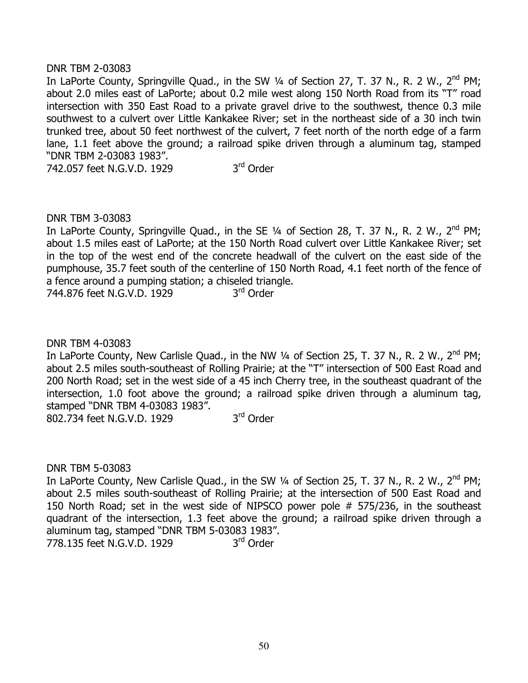## DNR TBM 2-03083

In LaPorte County, Springville Quad., in the SW 1/4 of Section 27, T. 37 N., R. 2 W., 2<sup>nd</sup> PM; about 2.0 miles east of LaPorte; about 0.2 mile west along 150 North Road from its "T" road intersection with 350 East Road to a private gravel drive to the southwest, thence 0.3 mile southwest to a culvert over Little Kankakee River; set in the northeast side of a 30 inch twin trunked tree, about 50 feet northwest of the culvert, 7 feet north of the north edge of a farm lane, 1.1 feet above the ground; a railroad spike driven through a aluminum tag, stamped "DNR TBM 2-03083 1983".

742.057 feet N.G.V.D. 1929 3rd Order

## DNR TBM 3-03083

In LaPorte County, Springville Quad., in the SE  $\frac{1}{4}$  of Section 28, T. 37 N., R. 2 W., 2<sup>nd</sup> PM; about 1.5 miles east of LaPorte; at the 150 North Road culvert over Little Kankakee River; set in the top of the west end of the concrete headwall of the culvert on the east side of the pumphouse, 35.7 feet south of the centerline of 150 North Road, 4.1 feet north of the fence of a fence around a pumping station; a chiseled triangle.

744.876 feet N.G.V.D. 1929 3<sup>rd</sup> Order

DNR TBM 4-03083

In LaPorte County, New Carlisle Quad., in the NW  $\frac{1}{4}$  of Section 25, T. 37 N., R. 2 W., 2<sup>nd</sup> PM; about 2.5 miles south-southeast of Rolling Prairie; at the "T" intersection of 500 East Road and 200 North Road; set in the west side of a 45 inch Cherry tree, in the southeast quadrant of the intersection, 1.0 foot above the ground; a railroad spike driven through a aluminum tag, stamped "DNR TBM 4-03083 1983".

802.734 feet N.G.V.D. 1929 3rd Order

DNR TBM 5-03083

In LaPorte County, New Carlisle Quad., in the SW 1/4 of Section 25, T. 37 N., R. 2 W., 2<sup>nd</sup> PM; about 2.5 miles south-southeast of Rolling Prairie; at the intersection of 500 East Road and 150 North Road; set in the west side of NIPSCO power pole # 575/236, in the southeast quadrant of the intersection, 1.3 feet above the ground; a railroad spike driven through a aluminum tag, stamped "DNR TBM 5-03083 1983".

778.135 feet N.G.V.D. 1929 3<sup>rd</sup> Order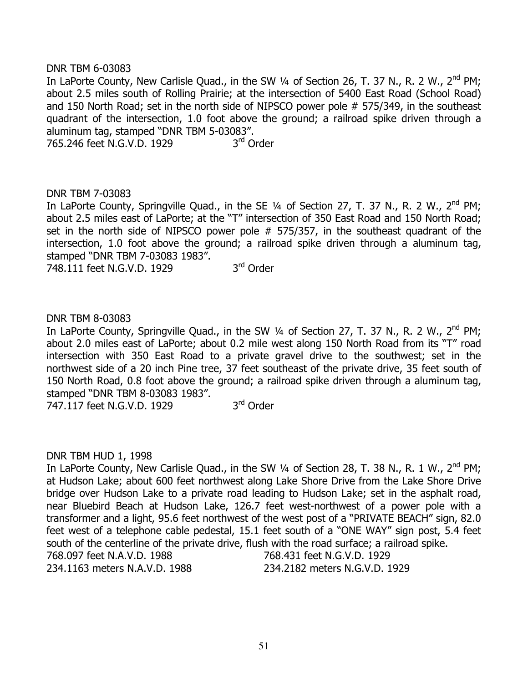## DNR TBM 6-03083

In LaPorte County, New Carlisle Quad., in the SW 1/4 of Section 26, T. 37 N., R. 2 W., 2<sup>nd</sup> PM; about 2.5 miles south of Rolling Prairie; at the intersection of 5400 East Road (School Road) and 150 North Road; set in the north side of NIPSCO power pole # 575/349, in the southeast quadrant of the intersection, 1.0 foot above the ground; a railroad spike driven through a aluminum tag, stamped "DNR TBM 5-03083".

765.246 feet N.G.V.D. 1929 3rd Order

## DNR TBM 7-03083

In LaPorte County, Springville Quad., in the SE  $\frac{1}{4}$  of Section 27, T. 37 N., R. 2 W., 2<sup>nd</sup> PM; about 2.5 miles east of LaPorte; at the "T" intersection of 350 East Road and 150 North Road; set in the north side of NIPSCO power pole # 575/357, in the southeast quadrant of the intersection, 1.0 foot above the ground; a railroad spike driven through a aluminum tag, stamped "DNR TBM 7-03083 1983".

748.111 feet N.G.V.D. 1929 3rd Order

## DNR TBM 8-03083

In LaPorte County, Springville Quad., in the SW 1/4 of Section 27, T. 37 N., R. 2 W., 2<sup>nd</sup> PM; about 2.0 miles east of LaPorte; about 0.2 mile west along 150 North Road from its "T" road intersection with 350 East Road to a private gravel drive to the southwest; set in the northwest side of a 20 inch Pine tree, 37 feet southeast of the private drive, 35 feet south of 150 North Road, 0.8 foot above the ground; a railroad spike driven through a aluminum tag, stamped "DNR TBM 8-03083 1983".

 $747.117$  feet N.G.V.D. 1929  $3<sup>rd</sup>$  Order

### DNR TBM HUD 1, 1998

In LaPorte County, New Carlisle Quad., in the SW  $\frac{1}{4}$  of Section 28, T. 38 N., R. 1 W., 2<sup>nd</sup> PM; at Hudson Lake; about 600 feet northwest along Lake Shore Drive from the Lake Shore Drive bridge over Hudson Lake to a private road leading to Hudson Lake; set in the asphalt road, near Bluebird Beach at Hudson Lake, 126.7 feet west-northwest of a power pole with a transformer and a light, 95.6 feet northwest of the west post of a "PRIVATE BEACH" sign, 82.0 feet west of a telephone cable pedestal, 15.1 feet south of a "ONE WAY" sign post, 5.4 feet south of the centerline of the private drive, flush with the road surface; a railroad spike. 768.097 feet N.A.V.D. 1988 768.431 feet N.G.V.D. 1929 234.1163 meters N.A.V.D. 1988 234.2182 meters N.G.V.D. 1929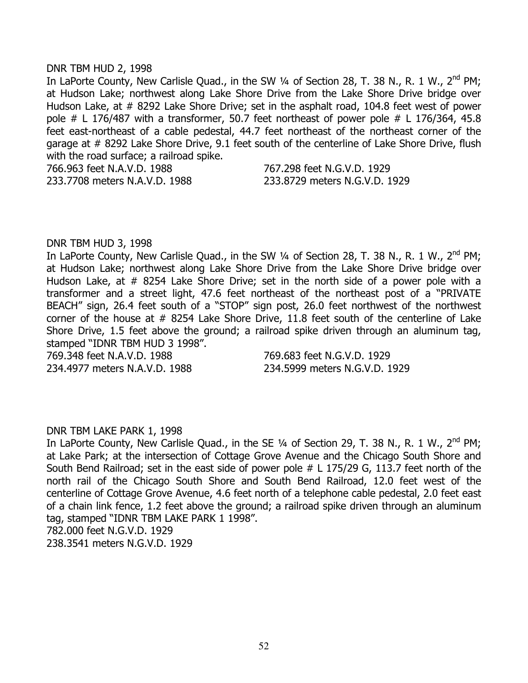#### DNR TBM HUD 2, 1998

In LaPorte County, New Carlisle Quad., in the SW 1/4 of Section 28, T. 38 N., R. 1 W., 2<sup>nd</sup> PM; at Hudson Lake; northwest along Lake Shore Drive from the Lake Shore Drive bridge over Hudson Lake, at # 8292 Lake Shore Drive; set in the asphalt road, 104.8 feet west of power pole  $\#$  L 176/487 with a transformer, 50.7 feet northeast of power pole  $\#$  L 176/364, 45.8 feet east-northeast of a cable pedestal, 44.7 feet northeast of the northeast corner of the garage at # 8292 Lake Shore Drive, 9.1 feet south of the centerline of Lake Shore Drive, flush with the road surface; a railroad spike. 766.963 feet N.A.V.D. 1988 767.298 feet N.G.V.D. 1929

233.7708 meters N.A.V.D. 1988 233.8729 meters N.G.V.D. 1929

## DNR TBM HUD 3, 1998

In LaPorte County, New Carlisle Quad., in the SW  $\frac{1}{4}$  of Section 28, T. 38 N., R. 1 W., 2<sup>nd</sup> PM; at Hudson Lake; northwest along Lake Shore Drive from the Lake Shore Drive bridge over Hudson Lake, at # 8254 Lake Shore Drive; set in the north side of a power pole with a transformer and a street light, 47.6 feet northeast of the northeast post of a "PRIVATE BEACH" sign, 26.4 feet south of a "STOP" sign post, 26.0 feet northwest of the northwest corner of the house at # 8254 Lake Shore Drive, 11.8 feet south of the centerline of Lake Shore Drive, 1.5 feet above the ground; a railroad spike driven through an aluminum tag, stamped "IDNR TBM HUD 3 1998".

769.348 feet N.A.V.D. 1988 769.683 feet N.G.V.D. 1929

234.4977 meters N.A.V.D. 1988 234.5999 meters N.G.V.D. 1929

# DNR TBM LAKE PARK 1, 1998

In LaPorte County, New Carlisle Quad., in the SE 1/4 of Section 29, T. 38 N., R. 1 W., 2<sup>nd</sup> PM; at Lake Park; at the intersection of Cottage Grove Avenue and the Chicago South Shore and South Bend Railroad; set in the east side of power pole # L 175/29 G, 113.7 feet north of the north rail of the Chicago South Shore and South Bend Railroad, 12.0 feet west of the centerline of Cottage Grove Avenue, 4.6 feet north of a telephone cable pedestal, 2.0 feet east of a chain link fence, 1.2 feet above the ground; a railroad spike driven through an aluminum tag, stamped "IDNR TBM LAKE PARK 1 1998".

782.000 feet N.G.V.D. 1929

238.3541 meters N.G.V.D. 1929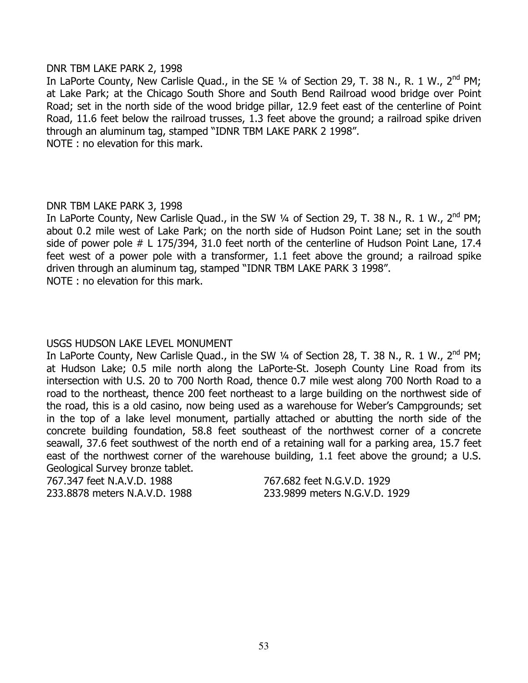## DNR TBM LAKE PARK 2, 1998

In LaPorte County, New Carlisle Quad., in the SE 1/4 of Section 29, T. 38 N., R. 1 W., 2<sup>nd</sup> PM; at Lake Park; at the Chicago South Shore and South Bend Railroad wood bridge over Point Road; set in the north side of the wood bridge pillar, 12.9 feet east of the centerline of Point Road, 11.6 feet below the railroad trusses, 1.3 feet above the ground; a railroad spike driven through an aluminum tag, stamped "IDNR TBM LAKE PARK 2 1998". NOTE : no elevation for this mark.

# DNR TBM LAKE PARK 3, 1998

In LaPorte County, New Carlisle Quad., in the SW  $\frac{1}{4}$  of Section 29, T. 38 N., R. 1 W., 2<sup>nd</sup> PM; about 0.2 mile west of Lake Park; on the north side of Hudson Point Lane; set in the south side of power pole # L 175/394, 31.0 feet north of the centerline of Hudson Point Lane, 17.4 feet west of a power pole with a transformer, 1.1 feet above the ground; a railroad spike driven through an aluminum tag, stamped "IDNR TBM LAKE PARK 3 1998". NOTE : no elevation for this mark.

# USGS HUDSON LAKE LEVEL MONUMENT

In LaPorte County, New Carlisle Quad., in the SW  $\frac{1}{4}$  of Section 28, T. 38 N., R. 1 W., 2<sup>nd</sup> PM; at Hudson Lake; 0.5 mile north along the LaPorte-St. Joseph County Line Road from its intersection with U.S. 20 to 700 North Road, thence 0.7 mile west along 700 North Road to a road to the northeast, thence 200 feet northeast to a large building on the northwest side of the road, this is a old casino, now being used as a warehouse for Weber's Campgrounds; set in the top of a lake level monument, partially attached or abutting the north side of the concrete building foundation, 58.8 feet southeast of the northwest corner of a concrete seawall, 37.6 feet southwest of the north end of a retaining wall for a parking area, 15.7 feet east of the northwest corner of the warehouse building, 1.1 feet above the ground; a U.S. Geological Survey bronze tablet.

767.347 feet N.A.V.D. 1988 767.682 feet N.G.V.D. 1929

233.8878 meters N.A.V.D. 1988 233.9899 meters N.G.V.D. 1929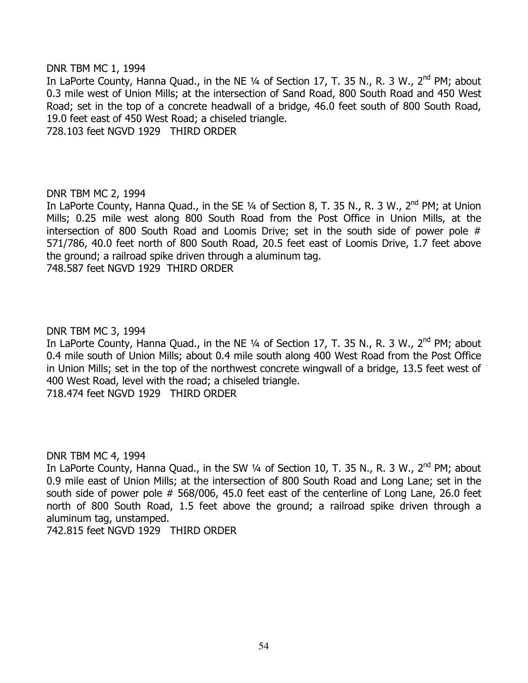DNR TBM MC 1, 1994

In LaPorte County, Hanna Quad., in the NE  $\frac{1}{4}$  of Section 17, T. 35 N., R. 3 W., 2<sup>nd</sup> PM; about 0.3 mile west of Union Mills; at the intersection of Sand Road, 800 South Road and 450 West Road; set in the top of a concrete headwall of a bridge, 46.0 feet south of 800 South Road, 19.0 feet east of 450 West Road; a chiseled triangle.

728.103 feet NGVD 1929 THIRD ORDER

# DNR TBM MC 2, 1994

In LaPorte County, Hanna Quad., in the SE 1/4 of Section 8, T. 35 N., R. 3 W., 2<sup>nd</sup> PM; at Union Mills; 0.25 mile west along 800 South Road from the Post Office in Union Mills, at the intersection of 800 South Road and Loomis Drive; set in the south side of power pole # 571/786, 40.0 feet north of 800 South Road, 20.5 feet east of Loomis Drive, 1.7 feet above the ground; a railroad spike driven through a aluminum tag. 748.587 feet NGVD 1929 THIRD ORDER

# DNR TBM MC 3, 1994

In LaPorte County, Hanna Quad., in the NE  $\frac{1}{4}$  of Section 17, T. 35 N., R. 3 W., 2<sup>nd</sup> PM; about 0.4 mile south of Union Mills; about 0.4 mile south along 400 West Road from the Post Office in Union Mills; set in the top of the northwest concrete wingwall of a bridge, 13.5 feet west of 400 West Road, level with the road; a chiseled triangle. 718.474 feet NGVD 1929 THIRD ORDER

DNR TBM MC 4, 1994

In LaPorte County, Hanna Quad., in the SW  $\frac{1}{4}$  of Section 10, T. 35 N., R. 3 W., 2<sup>nd</sup> PM; about 0.9 mile east of Union Mills; at the intersection of 800 South Road and Long Lane; set in the south side of power pole # 568/006, 45.0 feet east of the centerline of Long Lane, 26.0 feet north of 800 South Road, 1.5 feet above the ground; a railroad spike driven through a aluminum tag, unstamped.

742.815 feet NGVD 1929 THIRD ORDER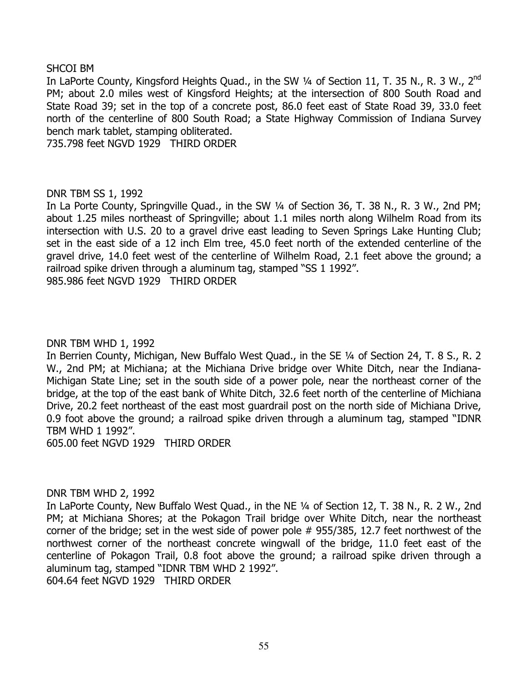## SHCOI BM

In LaPorte County, Kingsford Heights Quad., in the SW 1/4 of Section 11, T. 35 N., R. 3 W., 2<sup>nd</sup> PM; about 2.0 miles west of Kingsford Heights; at the intersection of 800 South Road and State Road 39; set in the top of a concrete post, 86.0 feet east of State Road 39, 33.0 feet north of the centerline of 800 South Road; a State Highway Commission of Indiana Survey bench mark tablet, stamping obliterated.

735.798 feet NGVD 1929 THIRD ORDER

## DNR TBM SS 1, 1992

In La Porte County, Springville Quad., in the SW 1/4 of Section 36, T. 38 N., R. 3 W., 2nd PM; about 1.25 miles northeast of Springville; about 1.1 miles north along Wilhelm Road from its intersection with U.S. 20 to a gravel drive east leading to Seven Springs Lake Hunting Club; set in the east side of a 12 inch Elm tree, 45.0 feet north of the extended centerline of the gravel drive, 14.0 feet west of the centerline of Wilhelm Road, 2.1 feet above the ground; a railroad spike driven through a aluminum tag, stamped "SS 1 1992". 985.986 feet NGVD 1929 THIRD ORDER

### DNR TBM WHD 1, 1992

In Berrien County, Michigan, New Buffalo West Quad., in the SE ¼ of Section 24, T. 8 S., R. 2 W., 2nd PM; at Michiana; at the Michiana Drive bridge over White Ditch, near the Indiana-Michigan State Line; set in the south side of a power pole, near the northeast corner of the bridge, at the top of the east bank of White Ditch, 32.6 feet north of the centerline of Michiana Drive, 20.2 feet northeast of the east most guardrail post on the north side of Michiana Drive, 0.9 foot above the ground; a railroad spike driven through a aluminum tag, stamped "IDNR TBM WHD 1 1992".

605.00 feet NGVD 1929 THIRD ORDER

### DNR TBM WHD 2, 1992

In LaPorte County, New Buffalo West Quad., in the NE ¼ of Section 12, T. 38 N., R. 2 W., 2nd PM; at Michiana Shores; at the Pokagon Trail bridge over White Ditch, near the northeast corner of the bridge; set in the west side of power pole # 955/385, 12.7 feet northwest of the northwest corner of the northeast concrete wingwall of the bridge, 11.0 feet east of the centerline of Pokagon Trail, 0.8 foot above the ground; a railroad spike driven through a aluminum tag, stamped "IDNR TBM WHD 2 1992".

604.64 feet NGVD 1929 THIRD ORDER